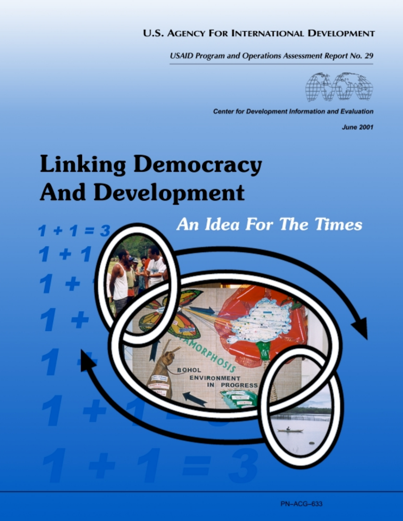#### **U.S. AGENCY FOR INTERNATIONAL DEVELOPMENT**

**USAID Program and Operations Assessment Report No. 29** 



**Center for Development Information and Evaluation** 

**June 2001** 

# **Linking Democracy And Development**

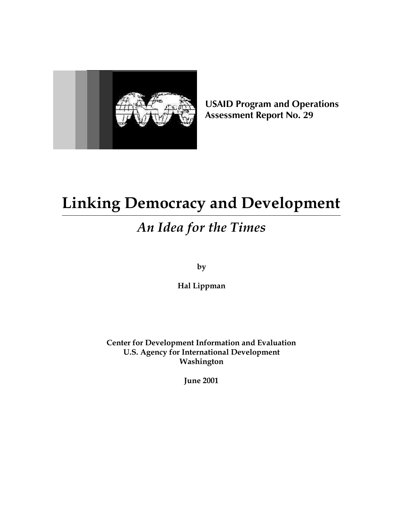

**USAID Program and Operations Assessment Report No. 29**

# **Linking Democracy and Development**

# *An Idea for the Times*

**by**

**Hal Lippman**

**Center for Development Information and Evaluation U.S. Agency for International Development Washington**

**June 2001**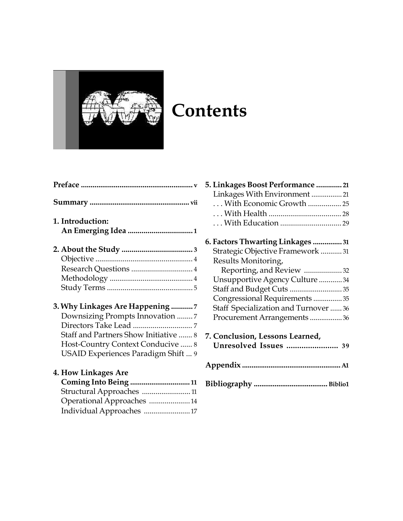

# **Contents**

| 1. Introduction:                      |  |
|---------------------------------------|--|
|                                       |  |
|                                       |  |
|                                       |  |
|                                       |  |
|                                       |  |
|                                       |  |
| 3. Why Linkages Are Happening  7      |  |
| Downsizing Prompts Innovation 7       |  |
|                                       |  |
| Staff and Partners Show Initiative  8 |  |
| Host-Country Context Conducive  8     |  |
| USAID Experiences Paradigm Shift  9   |  |
| <b>4. How Linkages Are</b>            |  |
| Coming Into Being  11                 |  |

| Structural Approaches 11   |  |
|----------------------------|--|
| Operational Approaches  14 |  |
| Individual Approaches  17  |  |

| 5. Linkages Boost Performance  21                               |
|-----------------------------------------------------------------|
| Linkages With Environment  21                                   |
| With Economic Growth  25                                        |
|                                                                 |
|                                                                 |
| 6. Factors Thwarting Linkages  31                               |
| Strategic Objective Framework  31                               |
| Results Monitoring,                                             |
| Reporting, and Review 32                                        |
| Unsupportive Agency Culture  34                                 |
| Staff and Budget Cuts  35                                       |
| Congressional Requirements  35                                  |
| Staff Specialization and Turnover  36                           |
| Procurement Arrangements 36                                     |
| 7. Conclusion, Lessons Learned,<br><b>Unresolved Issues </b> 39 |
|                                                                 |
|                                                                 |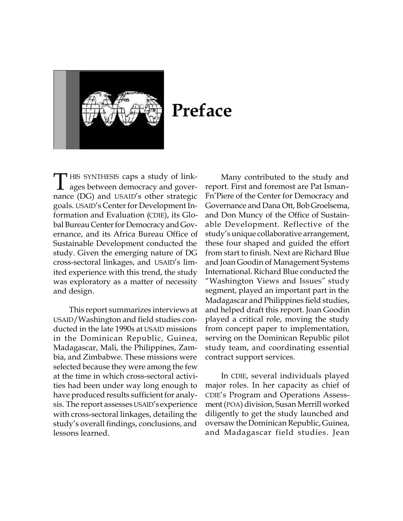

# **Preface**

HIS SYNTHESIS caps a study of link-<br>ages between democracy and goverages between democracy and governance (DG) and USAID's other strategic goals. USAID's Center for Development Information and Evaluation (CDIE), its Global Bureau Center for Democracy and Governance, and its Africa Bureau Office of Sustainable Development conducted the study. Given the emerging nature of DG cross-sectoral linkages, and USAID's limited experience with this trend, the study was exploratory as a matter of necessity and design.

This report summarizes interviews at USAID/Washington and field studies conducted in the late 1990s at USAID missions in the Dominican Republic, Guinea, Madagascar, Mali, the Philippines, Zambia, and Zimbabwe. These missions were selected because they were among the few at the time in which cross-sectoral activities had been under way long enough to have produced results sufficient for analysis. The report assesses USAID's experience with cross-sectoral linkages, detailing the study's overall findings, conclusions, and lessons learned.

Many contributed to the study and report. First and foremost are Pat Isman– Fn'Piere of the Center for Democracy and Governance and Dana Ott, Bob Groelsema, and Don Muncy of the Office of Sustainable Development. Reflective of the study's unique collaborative arrangement, these four shaped and guided the effort from start to finish. Next are Richard Blue and Joan Goodin of Management Systems International. Richard Blue conducted the "Washington Views and Issues*"* study segment, played an important part in the Madagascar and Philippines field studies, and helped draft this report. Joan Goodin played a critical role, moving the study from concept paper to implementation, serving on the Dominican Republic pilot study team, and coordinating essential contract support services.

In CDIE, several individuals played major roles. In her capacity as chief of CDIE's Program and Operations Assessment (POA) division, Susan Merrill worked diligently to get the study launched and oversaw the Dominican Republic, Guinea, and Madagascar field studies. Jean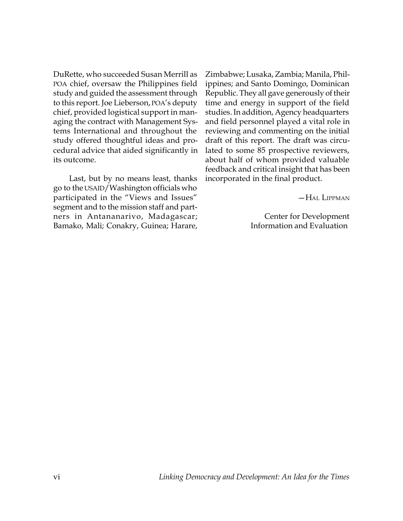DuRette, who succeeded Susan Merrill as POA chief, oversaw the Philippines field study and guided the assessment through to this report. Joe Lieberson, POA's deputy chief, provided logistical support in managing the contract with Management Systems International and throughout the study offered thoughtful ideas and procedural advice that aided significantly in its outcome.

Last, but by no means least, thanks go to the USAID/Washington officials who participated in the "Views and Issues" segment and to the mission staff and partners in Antananarivo, Madagascar; Bamako, Mali; Conakry, Guinea; Harare,

Zimbabwe; Lusaka, Zambia; Manila, Philippines; and Santo Domingo, Dominican Republic. They all gave generously of their time and energy in support of the field studies. In addition, Agency headquarters and field personnel played a vital role in reviewing and commenting on the initial draft of this report. The draft was circulated to some 85 prospective reviewers, about half of whom provided valuable feedback and critical insight that has been incorporated in the final product.

—HAL LIPPMAN

Center for Development Information and Evaluation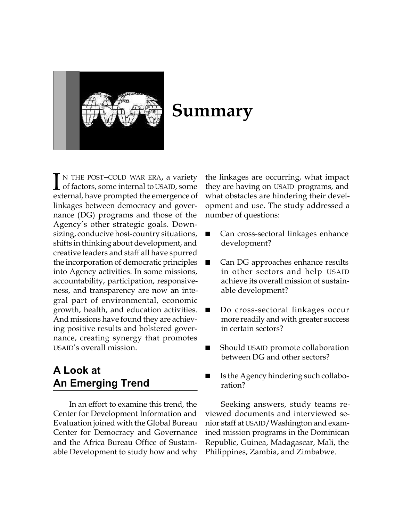

# **Summary**

<sup>N</sup> THE POST–COLD WAR ERA, a variety of factors, some internal to USAID, some external, have prompted the emergence of linkages between democracy and governance (DG) programs and those of the Agency's other strategic goals. Downsizing, conducive host-country situations, shifts in thinking about development, and creative leaders and staff all have spurred the incorporation of democratic principles into Agency activities. In some missions, accountability, participation, responsiveness, and transparency are now an integral part of environmental, economic growth, health, and education activities. And missions have found they are achieving positive results and bolstered governance, creating synergy that promotes USAID's overall mission. I N THE POST-COLD WAR ERA, a variety the linkages are occurring, what impact of factors, some internal to USAID, some they are having on USAID programs, and subsequences the concernent of the concernence of substantial and

# **A Look at An Emerging Trend**

In an effort to examine this trend, the Center for Development Information and Evaluation joined with the Global Bureau Center for Democracy and Governance and the Africa Bureau Office of Sustainable Development to study how and why

what obstacles are hindering their development and use. The study addressed a number of questions:

- Can cross-sectoral linkages enhance development?
- Can DG approaches enhance results in other sectors and help USAID achieve its overall mission of sustainable development?
- Do cross-sectoral linkages occur more readily and with greater success in certain sectors?
- Should USAID promote collaboration between DG and other sectors?
- Is the Agency hindering such collaboration?

Seeking answers, study teams reviewed documents and interviewed senior staff at USAID/Washington and examined mission programs in the Dominican Republic, Guinea, Madagascar, Mali, the Philippines, Zambia, and Zimbabwe.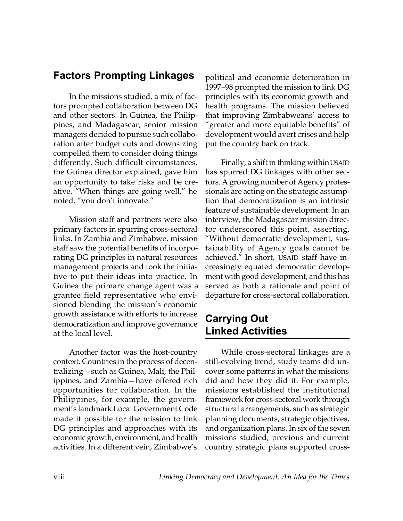# **Factors Prompting Linkages**

In the missions studied, a mix of factors prompted collaboration between DG and other sectors. In Guinea, the Philippines, and Madagascar, senior mission managers decided to pursue such collaboration after budget cuts and downsizing compelled them to consider doing things differently. Such difficult circumstances, the Guinea director explained, gave him an opportunity to take risks and be creative. "When things are going well," he noted, "you don't innovate."

Mission staff and partners were also primary factors in spurring cross-sectoral links. In Zambia and Zimbabwe, mission staff saw the potential benefits of incorporating DG principles in natural resources management projects and took the initiative to put their ideas into practice. In Guinea the primary change agent was a grantee field representative who envisioned blending the mission's economic growth assistance with efforts to increase democratization and improve governance at the local level.

Another factor was the host-country context. Countries in the process of decentralizing—such as Guinea, Mali, the Philippines, and Zambia—have offered rich opportunities for collaboration. In the Philippines, for example, the government's landmark Local Government Code made it possible for the mission to link DG principles and approaches with its economic growth, environment, and health activities. In a different vein, Zimbabwe's

political and economic deterioration in 1997–98 prompted the mission to link DG principles with its economic growth and health programs. The mission believed that improving Zimbabweans' access to "greater and more equitable benefits" of development would avert crises and help put the country back on track.

Finally, a shift in thinking within USAID has spurred DG linkages with other sectors. A growing number of Agency professionals are acting on the strategic assumption that democratization is an intrinsic feature of sustainable development. In an interview, the Madagascar mission director underscored this point, asserting, "Without democratic development, sustainability of Agency goals cannot be achieved." In short, USAID staff have increasingly equated democratic development with good development, and this has served as both a rationale and point of departure for cross-sectoral collaboration.

# **Carrying Out Linked Activities**

While cross-sectoral linkages are a still-evolving trend, study teams did uncover some patterns in what the missions did and how they did it. For example, missions established the institutional framework for cross-sectoral work through structural arrangements, such as strategic planning documents, strategic objectives, and organization plans. In six of the seven missions studied, previous and current country strategic plans supported cross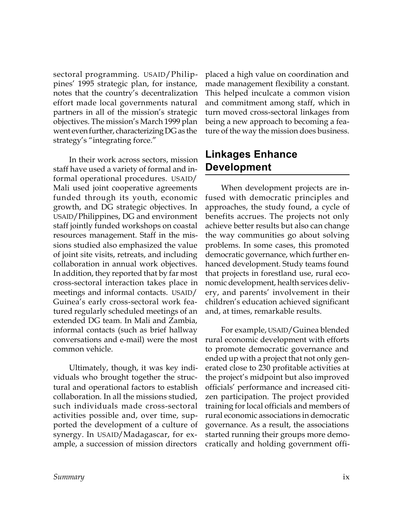sectoral programming. USAID/Philippines' 1995 strategic plan, for instance, notes that the country's decentralization effort made local governments natural partners in all of the mission's strategic objectives. The mission's March 1999 plan went even further, characterizing DG as the strategy's "integrating force."

In their work across sectors, mission staff have used a variety of formal and informal operational procedures. USAID/ Mali used joint cooperative agreements funded through its youth, economic growth, and DG strategic objectives. In USAID/Philippines, DG and environment staff jointly funded workshops on coastal resources management. Staff in the missions studied also emphasized the value of joint site visits, retreats, and including collaboration in annual work objectives. In addition, they reported that by far most cross-sectoral interaction takes place in meetings and informal contacts. USAID/ Guinea's early cross-sectoral work featured regularly scheduled meetings of an extended DG team. In Mali and Zambia, informal contacts (such as brief hallway conversations and e-mail) were the most common vehicle.

Ultimately, though, it was key individuals who brought together the structural and operational factors to establish collaboration. In all the missions studied, such individuals made cross-sectoral activities possible and, over time, supported the development of a culture of synergy. In USAID/Madagascar, for example, a succession of mission directors

placed a high value on coordination and made management flexibility a constant. This helped inculcate a common vision and commitment among staff, which in turn moved cross-sectoral linkages from being a new approach to becoming a feature of the way the mission does business.

# **Linkages Enhance Development**

When development projects are infused with democratic principles and approaches, the study found, a cycle of benefits accrues. The projects not only achieve better results but also can change the way communities go about solving problems. In some cases, this promoted democratic governance, which further enhanced development. Study teams found that projects in forestland use, rural economic development, health services delivery, and parents' involvement in their children's education achieved significant and, at times, remarkable results.

For example, USAID/Guinea blended rural economic development with efforts to promote democratic governance and ended up with a project that not only generated close to 230 profitable activities at the project's midpoint but also improved officials' performance and increased citizen participation. The project provided training for local officials and members of rural economic associations in democratic governance. As a result, the associations started running their groups more democratically and holding government offi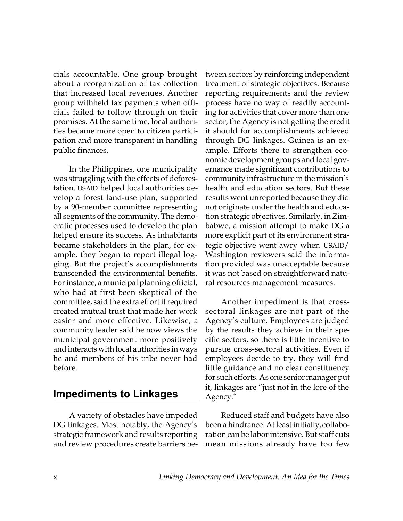cials accountable. One group brought about a reorganization of tax collection that increased local revenues. Another group withheld tax payments when officials failed to follow through on their promises. At the same time, local authorities became more open to citizen participation and more transparent in handling public finances.

In the Philippines, one municipality was struggling with the effects of deforestation. USAID helped local authorities develop a forest land-use plan, supported by a 90-member committee representing all segments of the community. The democratic processes used to develop the plan helped ensure its success. As inhabitants became stakeholders in the plan, for example, they began to report illegal logging. But the project's accomplishments transcended the environmental benefits. For instance, a municipal planning official, who had at first been skeptical of the committee, said the extra effort it required created mutual trust that made her work easier and more effective. Likewise, a community leader said he now views the municipal government more positively and interacts with local authorities in ways he and members of his tribe never had before.

### **Impediments to Linkages**

A variety of obstacles have impeded DG linkages. Most notably, the Agency's strategic framework and results reporting and review procedures create barriers between sectors by reinforcing independent treatment of strategic objectives. Because reporting requirements and the review process have no way of readily accounting for activities that cover more than one sector, the Agency is not getting the credit it should for accomplishments achieved through DG linkages. Guinea is an example. Efforts there to strengthen economic development groups and local governance made significant contributions to community infrastructure in the mission's health and education sectors. But these results went unreported because they did not originate under the health and education strategic objectives. Similarly, in Zimbabwe, a mission attempt to make DG a more explicit part of its environment strategic objective went awry when USAID/ Washington reviewers said the information provided was unacceptable because it was not based on straightforward natural resources management measures.

Another impediment is that crosssectoral linkages are not part of the Agency's culture. Employees are judged by the results they achieve in their specific sectors, so there is little incentive to pursue cross-sectoral activities. Even if employees decide to try, they will find little guidance and no clear constituency for such efforts. As one senior manager put it, linkages are "just not in the lore of the Agency."

Reduced staff and budgets have also been a hindrance. At least initially, collaboration can be labor intensive. But staff cuts mean missions already have too few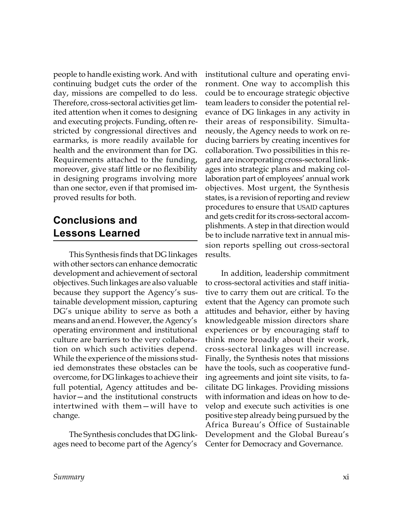people to handle existing work. And with continuing budget cuts the order of the day, missions are compelled to do less. Therefore, cross-sectoral activities get limited attention when it comes to designing and executing projects. Funding, often restricted by congressional directives and earmarks, is more readily available for health and the environment than for DG. Requirements attached to the funding, moreover, give staff little or no flexibility in designing programs involving more than one sector, even if that promised improved results for both.

# **Conclusions and Lessons Learned**

This Synthesis finds that DG linkages with other sectors can enhance democratic development and achievement of sectoral objectives. Such linkages are also valuable because they support the Agency's sustainable development mission, capturing DG's unique ability to serve as both a means and an end. However, the Agency's operating environment and institutional culture are barriers to the very collaboration on which such activities depend. While the experience of the missions studied demonstrates these obstacles can be overcome, for DG linkages to achieve their full potential, Agency attitudes and behavior—and the institutional constructs intertwined with them—will have to change.

The Synthesis concludes that DG linkages need to become part of the Agency's institutional culture and operating environment. One way to accomplish this could be to encourage strategic objective team leaders to consider the potential relevance of DG linkages in any activity in their areas of responsibility. Simultaneously, the Agency needs to work on reducing barriers by creating incentives for collaboration. Two possibilities in this regard are incorporating cross-sectoral linkages into strategic plans and making collaboration part of employees' annual work objectives. Most urgent, the Synthesis states, is a revision of reporting and review procedures to ensure that USAID captures and gets credit for its cross-sectoral accomplishments. A step in that direction would be to include narrative text in annual mission reports spelling out cross-sectoral results.

In addition, leadership commitment to cross-sectoral activities and staff initiative to carry them out are critical. To the extent that the Agency can promote such attitudes and behavior, either by having knowledgeable mission directors share experiences or by encouraging staff to think more broadly about their work, cross-sectoral linkages will increase. Finally, the Synthesis notes that missions have the tools, such as cooperative funding agreements and joint site visits, to facilitate DG linkages. Providing missions with information and ideas on how to develop and execute such activities is one positive step already being pursued by the Africa Bureau's Office of Sustainable Development and the Global Bureau's Center for Democracy and Governance.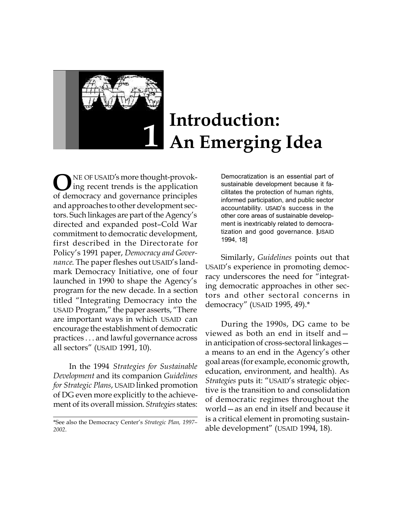

# **Introduction: 1 An Emerging Idea**

**O**NE OF USAID's more thought-provok-<br>of democracy and governance principles NE OF USAID's more thought-provoking recent trends is the application and approaches to other development sectors. Such linkages are part of the Agency's directed and expanded post–Cold War commitment to democratic development, first described in the Directorate for Policy's 1991 paper, *Democracy and Governance*. The paper fleshes out USAID's landmark Democracy Initiative, one of four launched in 1990 to shape the Agency's program for the new decade. In a section titled "Integrating Democracy into the USAID Program," the paper asserts, "There are important ways in which USAID can encourage the establishment of democratic practices . . . and lawful governance across all sectors" (USAID 1991, 10).

In the 1994 *Strategies for Sustainable Development* and its companion *Guidelines for Strategic Plans*, USAID linked promotion of DG even more explicitly to the achievement of its overall mission. *Strategies* states:

Democratization is an essential part of sustainable development because it facilitates the protection of human rights, informed participation, and public sector accountability. USAID's success in the other core areas of sustainable development is inextricably related to democratization and good governance. [USAID 1994, 18]

Similarly, *Guidelines* points out that USAID's experience in promoting democracy underscores the need for "integrating democratic approaches in other sectors and other sectoral concerns in democracy" (USAID 1995, 49).\*

During the 1990s, DG came to be viewed as both an end in itself and in anticipation of cross-sectoral linkages a means to an end in the Agency's other goal areas (for example, economic growth, education, environment, and health). As *Strategies* puts it: "USAID's strategic objective is the transition to and consolidation of democratic regimes throughout the world—as an end in itself and because it is a critical element in promoting sustainable development" (USAID 1994, 18).

<sup>\*</sup>See also the Democracy Center's *Strategic Plan, 1997– 2002*.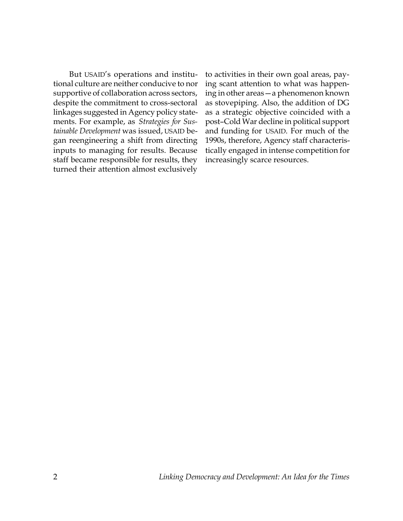But USAID's operations and institutional culture are neither conducive to nor supportive of collaboration across sectors, despite the commitment to cross-sectoral linkages suggested in Agency policy statements. For example, as *Strategies for Sustainable Development* was issued, USAID began reengineering a shift from directing inputs to managing for results. Because staff became responsible for results, they turned their attention almost exclusively

to activities in their own goal areas, paying scant attention to what was happening in other areas—a phenomenon known as stovepiping. Also, the addition of DG as a strategic objective coincided with a post–Cold War decline in political support and funding for USAID. For much of the 1990s, therefore, Agency staff characteristically engaged in intense competition for increasingly scarce resources.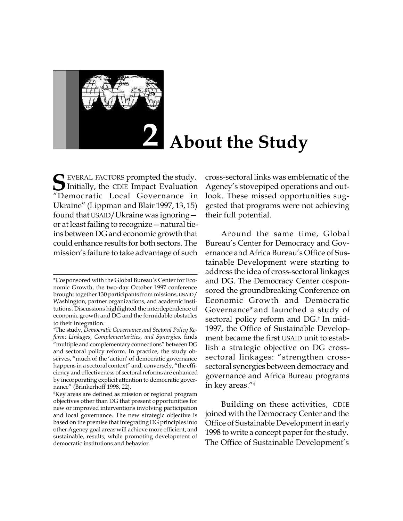

# **About the Study**

**S** EVERAL FACTORS prompted the study.<br>
"Democratic Local Governance in Initially, the CDIE Impact Evaluation "Democratic Local Governance in Ukraine" (Lippman and Blair 1997, 13, 15) found that USAID/Ukraine was ignoring or at least failing to recognize—natural tieins between DG and economic growth that could enhance results for both sectors. The mission's failure to take advantage of such

cross-sectoral links was emblematic of the Agency's stovepiped operations and outlook. These missed opportunities suggested that programs were not achieving their full potential.

Around the same time, Global Bureau's Center for Democracy and Governance and Africa Bureau's Office of Sustainable Development were starting to address the idea of cross-sectoral linkages and DG. The Democracy Center cosponsored the groundbreaking Conference on Economic Growth and Democratic Governance\* and launched a study of sectoral policy reform and DG.† In mid-1997, the Office of Sustainable Development became the first USAID unit to establish a strategic objective on DG crosssectoral linkages: "strengthen crosssectoral synergies between democracy and governance and Africa Bureau programs in key areas."‡

Building on these activities, CDIE joined with the Democracy Center and the Office of Sustainable Development in early 1998 to write a concept paper for the study. The Office of Sustainable Development's

<sup>\*</sup>Cosponsored with the Global Bureau's Center for Economic Growth, the two-day October 1997 conference brought together 130 participants from missions, USAID/ Washington, partner organizations, and academic institutions. Discussions highlighted the interdependence of economic growth and DG and the formidable obstacles to their integration.

<sup>†</sup>The study, *Democratic Governance and Sectoral Policy Reform: Linkages, Complementarities, and Synergies,* finds "multiple and complementary connections" between DG and sectoral policy reform. In practice, the study observes, "much of the 'action' of democratic governance happens in a sectoral context" and, conversely, "the efficiency and effectiveness of sectoral reforms are enhanced by incorporating explicit attention to democratic governance" (Brinkerhoff 1998, 22).

<sup>‡</sup>Key areas are defined as mission or regional program objectives other than DG that present opportunities for new or improved interventions involving participation and local governance. The new strategic objective is based on the premise that integrating DG principles into other Agency goal areas will achieve more efficient, and sustainable, results, while promoting development of democratic institutions and behavior.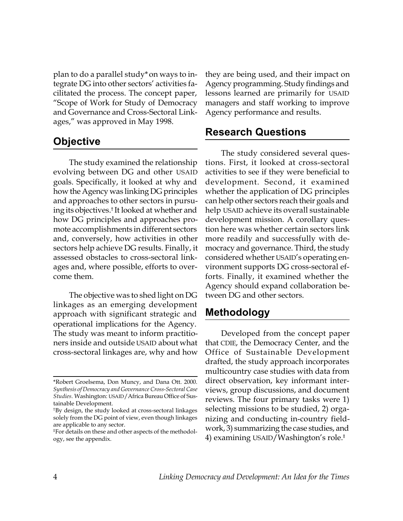plan to do a parallel study\*on ways to integrate DG into other sectors' activities facilitated the process. The concept paper, "Scope of Work for Study of Democracy and Governance and Cross-Sectoral Linkages," was approved in May 1998.

### **Objective**

The study examined the relationship evolving between DG and other USAID goals. Specifically, it looked at why and how the Agency was linking DG principles and approaches to other sectors in pursuing its objectives.† It looked at whether and how DG principles and approaches promote accomplishments in different sectors and, conversely, how activities in other sectors help achieve DG results. Finally, it assessed obstacles to cross-sectoral linkages and, where possible, efforts to overcome them.

The objective was to shed light on DG linkages as an emerging development approach with significant strategic and operational implications for the Agency. The study was meant to inform practitioners inside and outside USAID about what cross-sectoral linkages are, why and how they are being used, and their impact on Agency programming. Study findings and lessons learned are primarily for USAID managers and staff working to improve Agency performance and results.

#### **Research Questions**

The study considered several questions. First, it looked at cross-sectoral activities to see if they were beneficial to development. Second, it examined whether the application of DG principles can help other sectors reach their goals and help USAID achieve its overall sustainable development mission. A corollary question here was whether certain sectors link more readily and successfully with democracy and governance. Third, the study considered whether USAID's operating environment supports DG cross-sectoral efforts. Finally, it examined whether the Agency should expand collaboration between DG and other sectors.

### **Methodology**

Developed from the concept paper that CDIE, the Democracy Center, and the Office of Sustainable Development drafted, the study approach incorporates multicountry case studies with data from direct observation, key informant interviews, group discussions, and document reviews. The four primary tasks were 1) selecting missions to be studied, 2) organizing and conducting in-country fieldwork, 3) summarizing the case studies, and 4) examining USAID/Washington's role.‡

<sup>\*</sup>Robert Groelsema, Don Muncy, and Dana Ott. 2000. *Synthesis of Democracy and Governance Cross-Sectoral Case Studies.* Washington: USAID/Africa Bureau Office of Sustainable Development.

<sup>†</sup>By design, the study looked at cross-sectoral linkages solely from the DG point of view, even though linkages are applicable to any sector.

<sup>‡</sup>For details on these and other aspects of the methodology, see the appendix.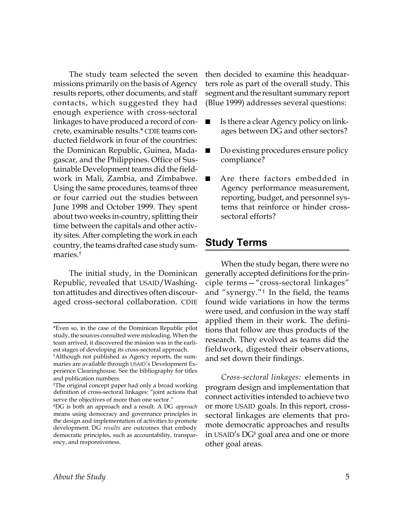The study team selected the seven missions primarily on the basis of Agency results reports, other documents, and staff contacts, which suggested they had enough experience with cross-sectoral linkages to have produced a record of concrete, examinable results.\* CDIE teams conducted fieldwork in four of the countries: the Dominican Republic, Guinea, Madagascar, and the Philippines. Office of Sustainable Development teams did the fieldwork in Mali, Zambia, and Zimbabwe. Using the same procedures, teams of three or four carried out the studies between June 1998 and October 1999. They spent about two weeks in-country, splitting their time between the capitals and other activity sites. After completing the work in each country, the teams drafted case study summaries.†

The initial study, in the Dominican Republic, revealed that USAID/Washington attitudes and directives often discouraged cross-sectoral collaboration. CDIE then decided to examine this headquarters role as part of the overall study. This segment and the resultant summary report (Blue 1999) addresses several questions:

- Is there a clear Agency policy on linkages between DG and other sectors?
- Do existing procedures ensure policy compliance?
- Are there factors embedded in Agency performance measurement, reporting, budget, and personnel systems that reinforce or hinder crosssectoral efforts?

### **Study Terms**

When the study began, there were no generally accepted definitions for the principle terms—"cross-sectoral linkages" and "synergy."‡ In the field, the teams found wide variations in how the terms were used, and confusion in the way staff applied them in their work. The definitions that follow are thus products of the research. They evolved as teams did the fieldwork, digested their observations, and set down their findings.

*Cross-sectoral linkages:* elements in program design and implementation that connect activities intended to achieve two or more USAID goals. In this report, crosssectoral linkages are elements that promote democratic approaches and results in USAID's DG§ goal area and one or more other goal areas.

<sup>\*</sup>Even so, in the case of the Dominican Republic pilot study, the sources consulted were misleading. When the team arrived, it discovered the mission was in the earliest stages of developing its cross-sectoral approach.

<sup>†</sup> Although not published as Agency reports, the summaries are available through USAID's Development Experience Clearinghouse. See the bibliography for titles and publication numbers.

<sup>‡</sup>The original concept paper had only a broad working definition of cross-sectoral linkages: "joint actions that serve the objectives of more than one sector."

<sup>§</sup>DG is both an approach and a result. A DG *approach* means using democracy and governance principles in the design and implementation of activities to promote development. DG *results* are outcomes that embody democratic principles, such as accountability, transparency, and responsiveness.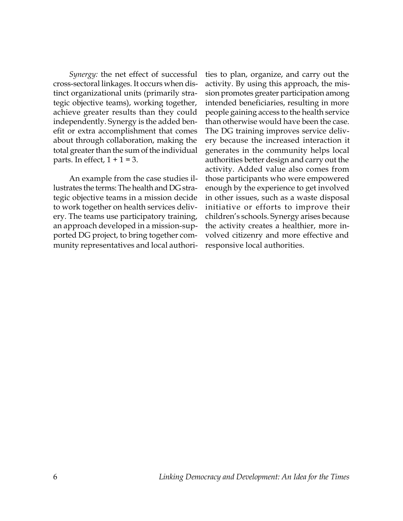*Synergy:* the net effect of successful cross-sectoral linkages. It occurs when distinct organizational units (primarily strategic objective teams), working together, achieve greater results than they could independently. Synergy is the added benefit or extra accomplishment that comes about through collaboration, making the total greater than the sum of the individual parts. In effect,  $1 + 1 = 3$ .

An example from the case studies illustrates the terms: The health and DG strategic objective teams in a mission decide to work together on health services delivery. The teams use participatory training, an approach developed in a mission-supported DG project, to bring together community representatives and local authorities to plan, organize, and carry out the activity. By using this approach, the mission promotes greater participation among intended beneficiaries, resulting in more people gaining access to the health service than otherwise would have been the case. The DG training improves service delivery because the increased interaction it generates in the community helps local authorities better design and carry out the activity. Added value also comes from those participants who were empowered enough by the experience to get involved in other issues, such as a waste disposal initiative or efforts to improve their children's schools. Synergy arises because the activity creates a healthier, more involved citizenry and more effective and responsive local authorities.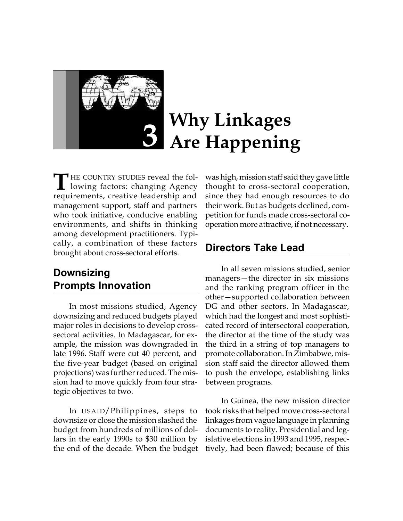

# **Why Linkages Are Happening**

**HE COUNTRY STUDIES reveal the fol**lowing factors: changing Agency requirements, creative leadership and management support, staff and partners who took initiative, conducive enabling environments, and shifts in thinking among development practitioners. Typically, a combination of these factors brought about cross-sectoral efforts. **T**

# **Downsizing Prompts Innovation**

In most missions studied, Agency downsizing and reduced budgets played major roles in decisions to develop crosssectoral activities. In Madagascar, for example, the mission was downgraded in late 1996. Staff were cut 40 percent, and the five-year budget (based on original projections) was further reduced. The mission had to move quickly from four strategic objectives to two.

In USAID/Philippines, steps to downsize or close the mission slashed the budget from hundreds of millions of dollars in the early 1990s to \$30 million by the end of the decade. When the budget was high, mission staff said they gave little thought to cross-sectoral cooperation, since they had enough resources to do their work. But as budgets declined, competition for funds made cross-sectoral cooperation more attractive, if not necessary.

### **Directors Take Lead**

In all seven missions studied, senior managers—the director in six missions and the ranking program officer in the other—supported collaboration between DG and other sectors. In Madagascar, which had the longest and most sophisticated record of intersectoral cooperation, the director at the time of the study was the third in a string of top managers to promote collaboration. In Zimbabwe, mission staff said the director allowed them to push the envelope, establishing links between programs.

In Guinea, the new mission director took risks that helped move cross-sectoral linkages from vague language in planning documents to reality. Presidential and legislative elections in 1993 and 1995, respectively, had been flawed; because of this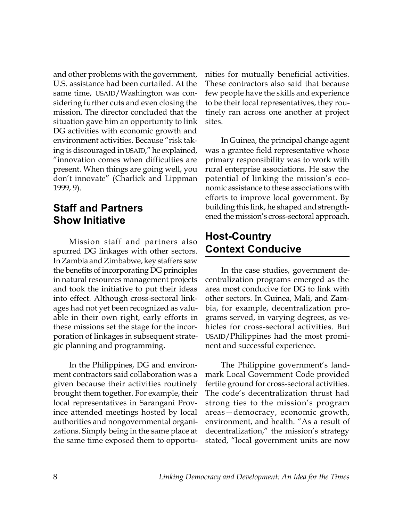and other problems with the government, U.S. assistance had been curtailed. At the same time, USAID/Washington was considering further cuts and even closing the mission. The director concluded that the situation gave him an opportunity to link DG activities with economic growth and environment activities. Because "risk taking is discouraged in USAID," he explained, "innovation comes when difficulties are present. When things are going well, you don't innovate" (Charlick and Lippman 1999, 9).

### **Staff and Partners Show Initiative**

Mission staff and partners also spurred DG linkages with other sectors. In Zambia and Zimbabwe, key staffers saw the benefits of incorporating DG principles in natural resources management projects and took the initiative to put their ideas into effect. Although cross-sectoral linkages had not yet been recognized as valuable in their own right, early efforts in these missions set the stage for the incorporation of linkages in subsequent strategic planning and programming.

In the Philippines, DG and environment contractors said collaboration was a given because their activities routinely brought them together. For example, their local representatives in Sarangani Province attended meetings hosted by local authorities and nongovernmental organizations. Simply being in the same place at the same time exposed them to opportunities for mutually beneficial activities. These contractors also said that because few people have the skills and experience to be their local representatives, they routinely ran across one another at project sites.

In Guinea, the principal change agent was a grantee field representative whose primary responsibility was to work with rural enterprise associations. He saw the potential of linking the mission's economic assistance to these associations with efforts to improve local government. By building this link, he shaped and strengthened the mission's cross-sectoral approach.

# **Host-Country Context Conducive**

In the case studies, government decentralization programs emerged as the area most conducive for DG to link with other sectors. In Guinea, Mali, and Zambia, for example, decentralization programs served, in varying degrees, as vehicles for cross-sectoral activities. But USAID/Philippines had the most prominent and successful experience.

The Philippine government's landmark Local Government Code provided fertile ground for cross-sectoral activities. The code's decentralization thrust had strong ties to the mission's program areas—democracy, economic growth, environment, and health. "As a result of decentralization," the mission's strategy stated, "local government units are now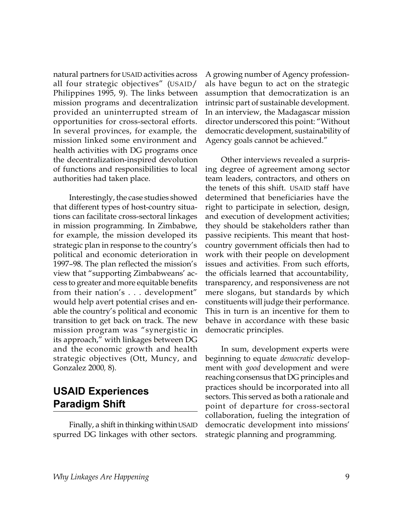natural partners for USAID activities across all four strategic objectives" (USAID/ Philippines 1995, 9). The links between mission programs and decentralization provided an uninterrupted stream of opportunities for cross-sectoral efforts. In several provinces, for example, the mission linked some environment and health activities with DG programs once the decentralization-inspired devolution of functions and responsibilities to local authorities had taken place.

Interestingly, the case studies showed that different types of host-country situations can facilitate cross-sectoral linkages in mission programming. In Zimbabwe, for example, the mission developed its strategic plan in response to the country's political and economic deterioration in 1997–98. The plan reflected the mission's view that "supporting Zimbabweans' access to greater and more equitable benefits from their nation's . . . development" would help avert potential crises and enable the country's political and economic transition to get back on track. The new mission program was "synergistic in its approach," with linkages between DG and the economic growth and health strategic objectives (Ott, Muncy, and Gonzalez 2000*,* 8).

# **USAID Experiences Paradigm Shift**

Finally, a shift in thinking within USAID spurred DG linkages with other sectors.

A growing number of Agency professionals have begun to act on the strategic assumption that democratization is an intrinsic part of sustainable development. In an interview, the Madagascar mission director underscored this point: "Without democratic development, sustainability of Agency goals cannot be achieved."

Other interviews revealed a surprising degree of agreement among sector team leaders, contractors, and others on the tenets of this shift. USAID staff have determined that beneficiaries have the right to participate in selection, design, and execution of development activities; they should be stakeholders rather than passive recipients. This meant that hostcountry government officials then had to work with their people on development issues and activities. From such efforts, the officials learned that accountability, transparency, and responsiveness are not mere slogans, but standards by which constituents will judge their performance. This in turn is an incentive for them to behave in accordance with these basic democratic principles.

In sum, development experts were beginning to equate *democratic* development with *good* development and were reaching consensus that DG principles and practices should be incorporated into all sectors. This served as both a rationale and point of departure for cross-sectoral collaboration, fueling the integration of democratic development into missions' strategic planning and programming.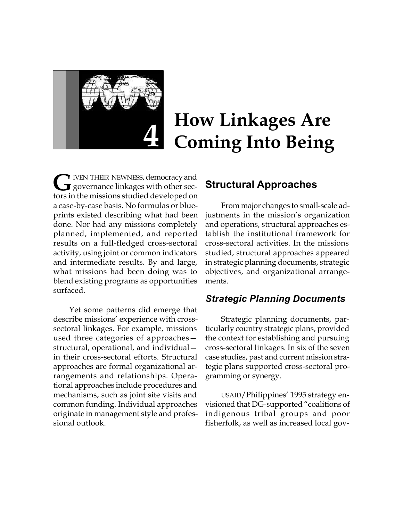

# **How Linkages Are Coming Into Being**

**IVEN THEIR NEWNESS, democracy and G** IVEN THEIR NEWNESS, democracy and<br>governance linkages with other sectors in the missions studied developed on a case-by-case basis. No formulas or blueprints existed describing what had been done. Nor had any missions completely planned, implemented, and reported results on a full-fledged cross-sectoral activity, using joint or common indicators and intermediate results. By and large, what missions had been doing was to blend existing programs as opportunities surfaced.

Yet some patterns did emerge that describe missions' experience with crosssectoral linkages. For example, missions used three categories of approaches structural, operational, and individual in their cross-sectoral efforts. Structural approaches are formal organizational arrangements and relationships. Operational approaches include procedures and mechanisms, such as joint site visits and common funding. Individual approaches originate in management style and professional outlook.

#### **Structural Approaches**

From major changes to small-scale adjustments in the mission's organization and operations, structural approaches establish the institutional framework for cross-sectoral activities. In the missions studied, structural approaches appeared in strategic planning documents, strategic objectives, and organizational arrangements.

#### *Strategic Planning Documents*

Strategic planning documents, particularly country strategic plans, provided the context for establishing and pursuing cross-sectoral linkages. In six of the seven case studies, past and current mission strategic plans supported cross-sectoral programming or synergy.

USAID/Philippines' 1995 strategy envisioned that DG-supported "coalitions of indigenous tribal groups and poor fisherfolk, as well as increased local gov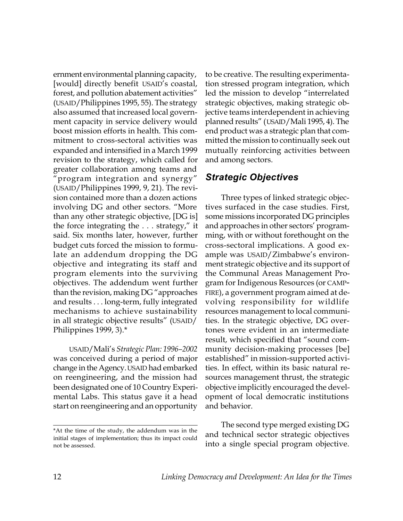ernment environmental planning capacity, [would] directly benefit USAID's coastal, forest, and pollution abatement activities" (USAID/Philippines 1995, 55). The strategy also assumed that increased local government capacity in service delivery would boost mission efforts in health. This commitment to cross-sectoral activities was expanded and intensified in a March 1999 revision to the strategy, which called for greater collaboration among teams and "program integration and synergy" (USAID/Philippines 1999, 9, 21). The revision contained more than a dozen actions involving DG and other sectors. "More than any other strategic objective, [DG is] the force integrating the . . . strategy," it said. Six months later, however, further budget cuts forced the mission to formulate an addendum dropping the DG objective and integrating its staff and program elements into the surviving objectives. The addendum went further than the revision, making DG "approaches and results . . . long-term, fully integrated mechanisms to achieve sustainability in all strategic objective results" (USAID/ Philippines 1999, 3).\*

USAID/Mali's *Strategic Plan: 1996–2002* was conceived during a period of major change in the Agency. USAID had embarked on reengineering, and the mission had been designated one of 10 Country Experimental Labs. This status gave it a head start on reengineering and an opportunity

to be creative. The resulting experimentation stressed program integration, which led the mission to develop "interrelated strategic objectives, making strategic objective teams interdependent in achieving planned results" (USAID/Mali 1995, 4). The end product was a strategic plan that committed the mission to continually seek out mutually reinforcing activities between and among sectors.

#### *Strategic Objectives*

Three types of linked strategic objectives surfaced in the case studies. First, some missions incorporated DG principles and approaches in other sectors' programming, with or without forethought on the cross-sectoral implications. A good example was USAID/Zimbabwe's environment strategic objective and its support of the Communal Areas Management Program for Indigenous Resources (or CAMP-FIRE), a government program aimed at devolving responsibility for wildlife resources management to local communities. In the strategic objective, DG overtones were evident in an intermediate result, which specified that "sound community decision-making processes [be] established" in mission-supported activities. In effect, within its basic natural resources management thrust, the strategic objective implicitly encouraged the development of local democratic institutions and behavior.

The second type merged existing DG and technical sector strategic objectives into a single special program objective.

<sup>\*</sup>At the time of the study, the addendum was in the initial stages of implementation; thus its impact could not be assessed.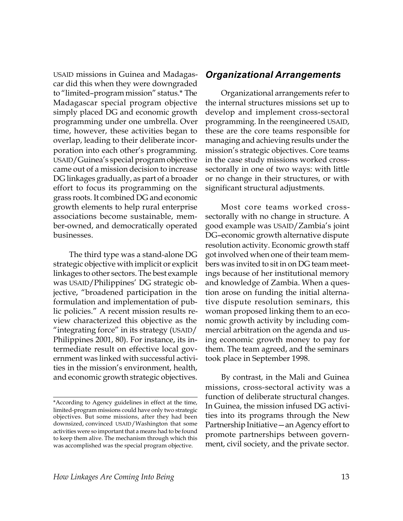USAID missions in Guinea and Madagascar did this when they were downgraded to "limited–program mission" status.\* The Madagascar special program objective simply placed DG and economic growth programming under one umbrella. Over time, however, these activities began to overlap, leading to their deliberate incorporation into each other's programming. USAID/Guinea's special program objective came out of a mission decision to increase DG linkages gradually, as part of a broader effort to focus its programming on the grass roots. It combined DG and economic growth elements to help rural enterprise associations become sustainable, member-owned, and democratically operated businesses.

The third type was a stand-alone DG strategic objective with implicit or explicit linkages to other sectors. The best example was USAID/Philippines' DG strategic objective, "broadened participation in the formulation and implementation of public policies." A recent mission results review characterized this objective as the "integrating force" in its strategy (USAID/ Philippines 2001, 80). For instance, its intermediate result on effective local government was linked with successful activities in the mission's environment, health, and economic growth strategic objectives.

#### *Organizational Arrangements*

Organizational arrangements refer to the internal structures missions set up to develop and implement cross-sectoral programming. In the reengineered USAID, these are the core teams responsible for managing and achieving results under the mission's strategic objectives. Core teams in the case study missions worked crosssectorally in one of two ways: with little or no change in their structures, or with significant structural adjustments.

Most core teams worked crosssectorally with no change in structure. A good example was USAID/Zambia's joint DG–economic growth alternative dispute resolution activity. Economic growth staff got involved when one of their team members was invited to sit in on DG team meetings because of her institutional memory and knowledge of Zambia. When a question arose on funding the initial alternative dispute resolution seminars, this woman proposed linking them to an economic growth activity by including commercial arbitration on the agenda and using economic growth money to pay for them. The team agreed, and the seminars took place in September 1998.

By contrast, in the Mali and Guinea missions, cross-sectoral activity was a function of deliberate structural changes. In Guinea, the mission infused DG activities into its programs through the New Partnership Initiative—an Agency effort to promote partnerships between government, civil society, and the private sector.

<sup>\*</sup>According to Agency guidelines in effect at the time, limited-program missions could have only two strategic objectives. But some missions, after they had been downsized, convinced USAID/Washington that some activities were so important that a means had to be found to keep them alive. The mechanism through which this was accomplished was the special program objective.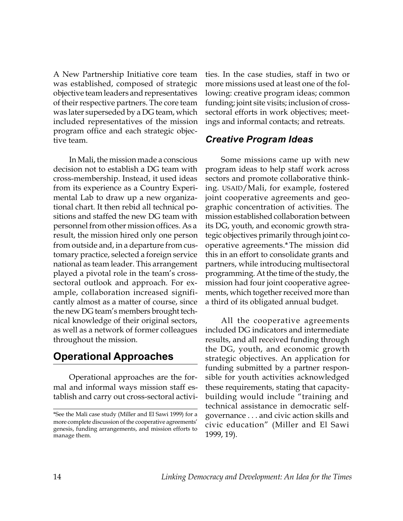A New Partnership Initiative core team was established, composed of strategic objective team leaders and representatives of their respective partners. The core team was later superseded by a DG team, which included representatives of the mission program office and each strategic objective team.

In Mali, the mission made a conscious decision not to establish a DG team with cross-membership. Instead, it used ideas from its experience as a Country Experimental Lab to draw up a new organizational chart. It then rebid all technical positions and staffed the new DG team with personnel from other mission offices. As a result, the mission hired only one person from outside and, in a departure from customary practice, selected a foreign service national as team leader. This arrangement played a pivotal role in the team's crosssectoral outlook and approach. For example, collaboration increased significantly almost as a matter of course, since the new DG team's members brought technical knowledge of their original sectors, as well as a network of former colleagues throughout the mission.

# **Operational Approaches**

Operational approaches are the formal and informal ways mission staff establish and carry out cross-sectoral activi-

ties. In the case studies, staff in two or more missions used at least one of the following: creative program ideas; common funding; joint site visits; inclusion of crosssectoral efforts in work objectives; meetings and informal contacts; and retreats.

#### *Creative Program Ideas*

Some missions came up with new program ideas to help staff work across sectors and promote collaborative thinking. USAID/Mali, for example, fostered joint cooperative agreements and geographic concentration of activities. The mission established collaboration between its DG, youth, and economic growth strategic objectives primarily through joint cooperative agreements.\*The mission did this in an effort to consolidate grants and partners, while introducing multisectoral programming. At the time of the study, the mission had four joint cooperative agreements, which together received more than a third of its obligated annual budget.

All the cooperative agreements included DG indicators and intermediate results, and all received funding through the DG, youth, and economic growth strategic objectives. An application for funding submitted by a partner responsible for youth activities acknowledged these requirements, stating that capacitybuilding would include "training and technical assistance in democratic selfgovernance . . . and civic action skills and civic education" (Miller and El Sawi 1999, 19).

<sup>\*</sup>See the Mali case study (Miller and El Sawi 1999) for a more complete discussion of the cooperative agreements' genesis, funding arrangements, and mission efforts to manage them.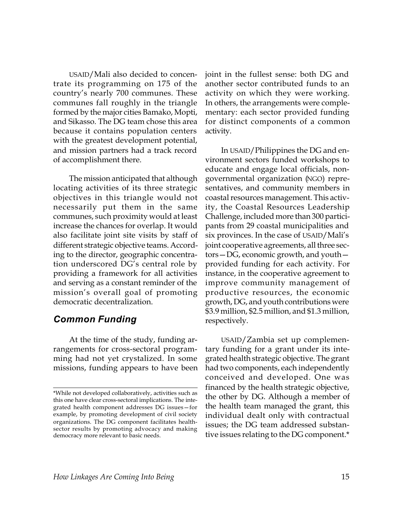USAID/Mali also decided to concentrate its programming on 175 of the country's nearly 700 communes. These communes fall roughly in the triangle formed by the major cities Bamako, Mopti, and Sikasso. The DG team chose this area because it contains population centers with the greatest development potential, and mission partners had a track record of accomplishment there.

The mission anticipated that although locating activities of its three strategic objectives in this triangle would not necessarily put them in the same communes, such proximity would at least increase the chances for overlap. It would also facilitate joint site visits by staff of different strategic objective teams. According to the director, geographic concentration underscored DG's central role by providing a framework for all activities and serving as a constant reminder of the mission's overall goal of promoting democratic decentralization.

#### *Common Funding*

At the time of the study, funding arrangements for cross-sectoral programming had not yet crystalized. In some missions, funding appears to have been joint in the fullest sense: both DG and another sector contributed funds to an activity on which they were working. In others, the arrangements were complementary: each sector provided funding for distinct components of a common activity.

In USAID/Philippines the DG and environment sectors funded workshops to educate and engage local officials, nongovernmental organization (NGO) representatives, and community members in coastal resources management. This activity, the Coastal Resources Leadership Challenge, included more than 300 participants from 29 coastal municipalities and six provinces. In the case of USAID/Mali's joint cooperative agreements, all three sectors—DG, economic growth, and youth provided funding for each activity. For instance, in the cooperative agreement to improve community management of productive resources, the economic growth, DG, and youth contributions were \$3.9 million, \$2.5 million, and \$1.3 million, respectively.

USAID/Zambia set up complementary funding for a grant under its integrated health strategic objective. The grant had two components, each independently conceived and developed. One was financed by the health strategic objective, the other by DG. Although a member of the health team managed the grant, this individual dealt only with contractual issues; the DG team addressed substantive issues relating to the DG component.\*

<sup>\*</sup>While not developed collaboratively, activities such as this one have clear cross-sectoral implications. The integrated health component addresses DG issues—for example, by promoting development of civil society organizations. The DG component facilitates healthsector results by promoting advocacy and making democracy more relevant to basic needs.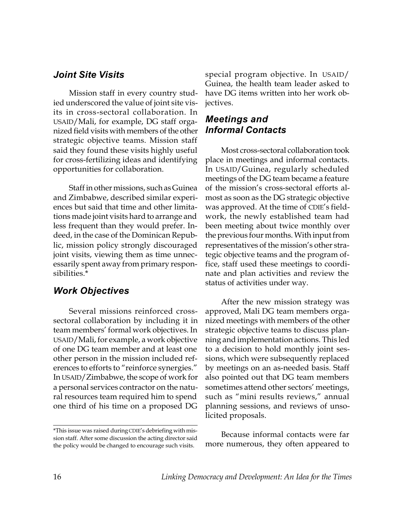#### *Joint Site Visits*

Mission staff in every country studied underscored the value of joint site visits in cross-sectoral collaboration. In USAID/Mali, for example, DG staff organized field visits with members of the other strategic objective teams. Mission staff said they found these visits highly useful for cross-fertilizing ideas and identifying opportunities for collaboration.

Staff in other missions, such as Guinea and Zimbabwe, described similar experiences but said that time and other limitations made joint visits hard to arrange and less frequent than they would prefer. Indeed, in the case of the Dominican Republic, mission policy strongly discouraged joint visits, viewing them as time unnecessarily spent away from primary responsibilities.\*

#### *Work Objectives*

Several missions reinforced crosssectoral collaboration by including it in team members' formal work objectives. In USAID/Mali, for example, a work objective of one DG team member and at least one other person in the mission included references to efforts to "reinforce synergies." In USAID/Zimbabwe, the scope of work for a personal services contractor on the natural resources team required him to spend one third of his time on a proposed DG

\*This issue was raised during CDIE's debriefing with mission staff. After some discussion the acting director said the policy would be changed to encourage such visits.

special program objective. In USAID/ Guinea, the health team leader asked to have DG items written into her work objectives.

#### *Meetings and Informal Contacts*

Most cross-sectoral collaboration took place in meetings and informal contacts. In USAID/Guinea, regularly scheduled meetings of the DG team became a feature of the mission's cross-sectoral efforts almost as soon as the DG strategic objective was approved. At the time of CDIE's fieldwork, the newly established team had been meeting about twice monthly over the previous four months. With input from representatives of the mission's other strategic objective teams and the program office, staff used these meetings to coordinate and plan activities and review the status of activities under way.

After the new mission strategy was approved, Mali DG team members organized meetings with members of the other strategic objective teams to discuss planning and implementation actions. This led to a decision to hold monthly joint sessions, which were subsequently replaced by meetings on an as-needed basis. Staff also pointed out that DG team members sometimes attend other sectors' meetings, such as "mini results reviews," annual planning sessions, and reviews of unsolicited proposals.

Because informal contacts were far more numerous, they often appeared to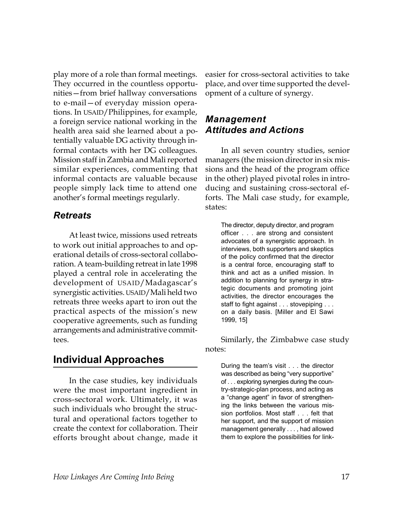play more of a role than formal meetings. They occurred in the countless opportunities—from brief hallway conversations to e-mail—of everyday mission operations. In USAID/Philippines, for example, a foreign service national working in the health area said she learned about a potentially valuable DG activity through informal contacts with her DG colleagues. Mission staff in Zambia and Mali reported similar experiences, commenting that informal contacts are valuable because people simply lack time to attend one another's formal meetings regularly.

#### *Retreats*

At least twice, missions used retreats to work out initial approaches to and operational details of cross-sectoral collaboration. A team-building retreat in late 1998 played a central role in accelerating the development of USAID/Madagascar's synergistic activities. USAID/Mali held two retreats three weeks apart to iron out the practical aspects of the mission's new cooperative agreements, such as funding arrangements and administrative committees.

#### **Individual Approaches**

In the case studies, key individuals were the most important ingredient in cross-sectoral work. Ultimately, it was such individuals who brought the structural and operational factors together to create the context for collaboration. Their efforts brought about change, made it easier for cross-sectoral activities to take place, and over time supported the development of a culture of synergy.

#### *Management Attitudes and Actions*

In all seven country studies, senior managers (the mission director in six missions and the head of the program office in the other) played pivotal roles in introducing and sustaining cross-sectoral efforts. The Mali case study, for example, states:

> The director, deputy director, and program officer . . . are strong and consistent advocates of a synergistic approach. In interviews, both supporters and skeptics of the policy confirmed that the director is a central force, encouraging staff to think and act as a unified mission. In addition to planning for synergy in strategic documents and promoting joint activities, the director encourages the staff to fight against . . . stovepiping . . . on a daily basis. [Miller and El Sawi 1999, 15]

Similarly, the Zimbabwe case study notes:

> During the team's visit . . . the director was described as being "very supportive" of . . . exploring synergies during the country-strategic-plan process, and acting as a "change agent" in favor of strengthening the links between the various mission portfolios. Most staff . . . felt that her support, and the support of mission management generally . . . , had allowed them to explore the possibilities for link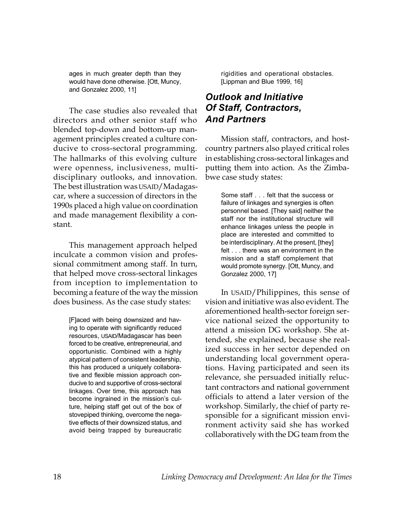ages in much greater depth than they would have done otherwise. [Ott, Muncy, and Gonzalez 2000, 11]

The case studies also revealed that directors and other senior staff who blended top-down and bottom-up management principles created a culture conducive to cross-sectoral programming. The hallmarks of this evolving culture were openness, inclusiveness, multidisciplinary outlooks, and innovation. The best illustration was USAID/Madagascar, where a succession of directors in the 1990s placed a high value on coordination and made management flexibility a constant.

This management approach helped inculcate a common vision and professional commitment among staff. In turn, that helped move cross-sectoral linkages from inception to implementation to becoming a feature of the way the mission does business. As the case study states:

> [F]aced with being downsized and having to operate with significantly reduced resources, USAID/Madagascar has been forced to be creative, entrepreneurial, and opportunistic. Combined with a highly atypical pattern of consistent leadership, this has produced a uniquely collaborative and flexible mission approach conducive to and supportive of cross-sectoral linkages. Over time, this approach has become ingrained in the mission's culture, helping staff get out of the box of stovepiped thinking, overcome the negative effects of their downsized status, and avoid being trapped by bureaucratic

rigidities and operational obstacles. [Lippman and Blue 1999, 16]

#### *Outlook and Initiative Of Staff, Contractors, And Partners*

Mission staff, contractors, and hostcountry partners also played critical roles in establishing cross-sectoral linkages and putting them into action. As the Zimbabwe case study states:

> Some staff . . . felt that the success or failure of linkages and synergies is often personnel based. [They said] neither the staff nor the institutional structure will enhance linkages unless the people in place are interested and committed to be interdisciplinary. At the present, [they] felt . . . there was an environment in the mission and a staff complement that would promote synergy. [Ott, Muncy, and Gonzalez 2000, 17]

In USAID/Philippines, this sense of vision and initiative was also evident. The aforementioned health-sector foreign service national seized the opportunity to attend a mission DG workshop. She attended, she explained, because she realized success in her sector depended on understanding local government operations. Having participated and seen its relevance, she persuaded initially reluctant contractors and national government officials to attend a later version of the workshop. Similarly, the chief of party responsible for a significant mission environment activity said she has worked collaboratively with the DG team from the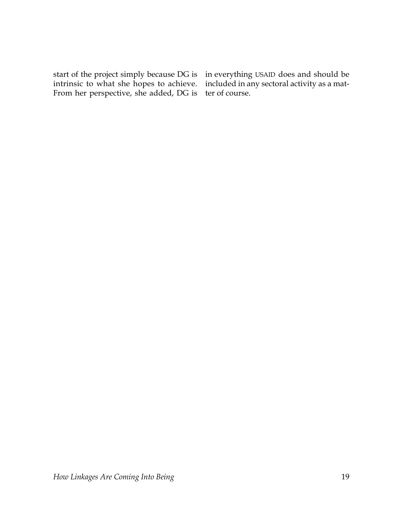start of the project simply because DG is in everything USAID does and should be intrinsic to what she hopes to achieve. From her perspective, she added, DG is

included in any sectoral activity as a matter of course.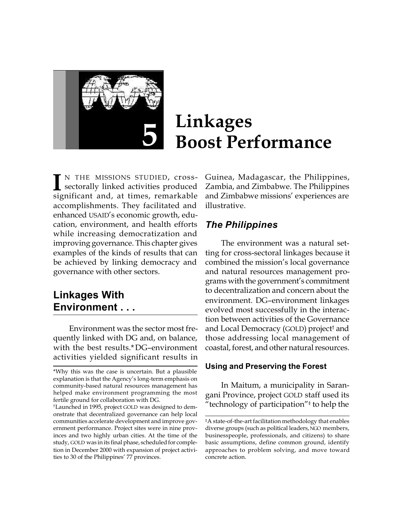

# **Linkages Boost Performance**

I<sup>N</sup> THE MISSIONS STUDIED, cross-<br>sectorally linked activities produced<br>significant and, at times, remarkable N THE MISSIONS STUDIED, crosssectorally linked activities produced accomplishments. They facilitated and enhanced USAID's economic growth, education, environment, and health efforts while increasing democratization and improving governance. This chapter gives examples of the kinds of results that can be achieved by linking democracy and governance with other sectors.

# **Linkages With Environment . . .**

Environment was the sector most frequently linked with DG and, on balance, with the best results.\*DG–environment activities yielded significant results in

Guinea, Madagascar, the Philippines, Zambia, and Zimbabwe. The Philippines and Zimbabwe missions' experiences are illustrative.

### *The Philippines*

The environment was a natural setting for cross-sectoral linkages because it combined the mission's local governance and natural resources management programs with the government's commitment to decentralization and concern about the environment. DG–environment linkages evolved most successfully in the interaction between activities of the Governance and Local Democracy (GOLD) project† and those addressing local management of coastal, forest, and other natural resources.

#### **Using and Preserving the Forest**

In Maitum, a municipality in Sarangani Province, project GOLD staff used its "technology of participation"‡ to help the

<sup>\*</sup>Why this was the case is uncertain. But a plausible explanation is that the Agency's long-term emphasis on community-based natural resources management has helped make environment programming the most fertile ground for collaboration with DG.

<sup>†</sup>Launched in 1995, project GOLD was designed to demonstrate that decentralized governance can help local communities accelerate development and improve government performance. Project sites were in nine provinces and two highly urban cities. At the time of the study, GOLD was in its final phase, scheduled for completion in December 2000 with expansion of project activities to 30 of the Philippines' 77 provinces.

<sup>‡</sup>A state-of-the-art facilitation methodology that enables diverse groups (such as political leaders, NGO members, businesspeople, professionals, and citizens) to share basic assumptions, define common ground, identify approaches to problem solving, and move toward concrete action.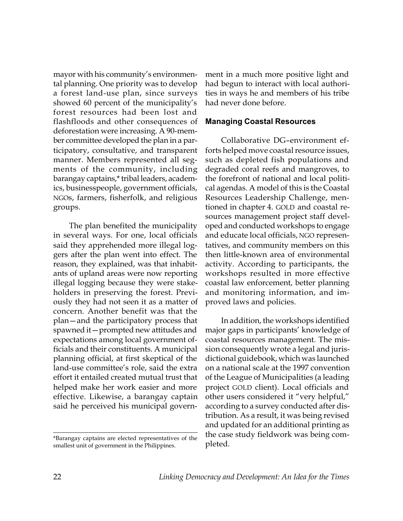mayor with his community's environmental planning. One priority was to develop a forest land-use plan, since surveys showed 60 percent of the municipality's forest resources had been lost and flashfloods and other consequences of deforestation were increasing. A 90-member committee developed the plan in a participatory, consultative, and transparent manner. Members represented all segments of the community, including barangay captains,\* tribal leaders, academics, businesspeople, government officials, NGOs, farmers, fisherfolk, and religious groups.

The plan benefited the municipality in several ways. For one, local officials said they apprehended more illegal loggers after the plan went into effect. The reason, they explained, was that inhabitants of upland areas were now reporting illegal logging because they were stakeholders in preserving the forest. Previously they had not seen it as a matter of concern. Another benefit was that the plan—and the participatory process that spawned it—prompted new attitudes and expectations among local government officials and their constituents. A municipal planning official, at first skeptical of the land-use committee's role, said the extra effort it entailed created mutual trust that helped make her work easier and more effective. Likewise, a barangay captain said he perceived his municipal govern-

\*Barangay captains are elected representatives of the smallest unit of government in the Philippines.

ment in a much more positive light and had begun to interact with local authorities in ways he and members of his tribe had never done before.

#### **Managing Coastal Resources**

Collaborative DG–environment efforts helped move coastal resource issues, such as depleted fish populations and degraded coral reefs and mangroves, to the forefront of national and local political agendas. A model of this is the Coastal Resources Leadership Challenge, mentioned in chapter 4. GOLD and coastal resources management project staff developed and conducted workshops to engage and educate local officials, NGO representatives, and community members on this then little-known area of environmental activity. According to participants, the workshops resulted in more effective coastal law enforcement, better planning and monitoring information, and improved laws and policies.

In addition, the workshops identified major gaps in participants' knowledge of coastal resources management. The mission consequently wrote a legal and jurisdictional guidebook, which was launched on a national scale at the 1997 convention of the League of Municipalities (a leading project GOLD client). Local officials and other users considered it "very helpful," according to a survey conducted after distribution. As a result, it was being revised and updated for an additional printing as the case study fieldwork was being completed.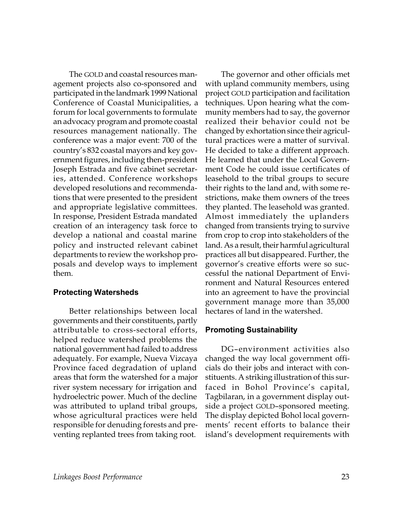The GOLD and coastal resources management projects also co-sponsored and participated in the landmark 1999 National Conference of Coastal Municipalities, a forum for local governments to formulate an advocacy program and promote coastal resources management nationally. The conference was a major event: 700 of the country's 832 coastal mayors and key government figures, including then-president Joseph Estrada and five cabinet secretaries, attended. Conference workshops developed resolutions and recommendations that were presented to the president and appropriate legislative committees. In response, President Estrada mandated creation of an interagency task force to develop a national and coastal marine policy and instructed relevant cabinet departments to review the workshop proposals and develop ways to implement them.

#### **Protecting Watersheds**

Better relationships between local governments and their constituents, partly attributable to cross-sectoral efforts, helped reduce watershed problems the national government had failed to address adequately. For example, Nueva Vizcaya Province faced degradation of upland areas that form the watershed for a major river system necessary for irrigation and hydroelectric power. Much of the decline was attributed to upland tribal groups, whose agricultural practices were held responsible for denuding forests and preventing replanted trees from taking root.

The governor and other officials met with upland community members, using project GOLD participation and facilitation techniques. Upon hearing what the community members had to say, the governor realized their behavior could not be changed by exhortation since their agricultural practices were a matter of survival. He decided to take a different approach. He learned that under the Local Government Code he could issue certificates of leasehold to the tribal groups to secure their rights to the land and, with some restrictions, make them owners of the trees they planted. The leasehold was granted. Almost immediately the uplanders changed from transients trying to survive from crop to crop into stakeholders of the land. As a result, their harmful agricultural practices all but disappeared. Further, the governor's creative efforts were so successful the national Department of Environment and Natural Resources entered into an agreement to have the provincial government manage more than 35,000 hectares of land in the watershed.

#### **Promoting Sustainability**

DG–environment activities also changed the way local government officials do their jobs and interact with constituents. A striking illustration of this surfaced in Bohol Province's capital, Tagbilaran, in a government display outside a project GOLD–sponsored meeting. The display depicted Bohol local governments' recent efforts to balance their island's development requirements with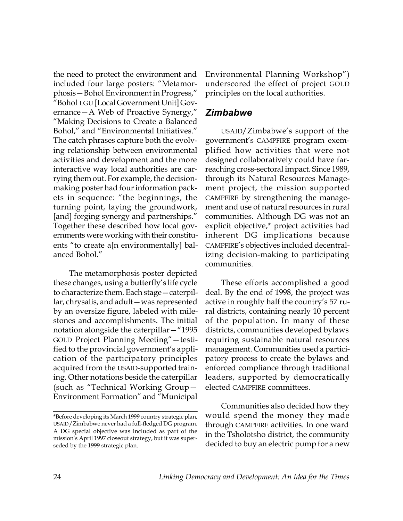the need to protect the environment and included four large posters: "Metamorphosis—Bohol Environment in Progress," "Bohol LGU [Local Government Unit] Governance—A Web of Proactive Synergy," "Making Decisions to Create a Balanced Bohol," and "Environmental Initiatives." The catch phrases capture both the evolving relationship between environmental activities and development and the more interactive way local authorities are carrying them out. For example, the decisionmaking poster had four information packets in sequence: "the beginnings, the turning point, laying the groundwork, [and] forging synergy and partnerships." Together these described how local governments were working with their constituents "to create a[n environmentally] balanced Bohol."

The metamorphosis poster depicted these changes, using a butterfly's life cycle to characterize them. Each stage—caterpillar, chrysalis, and adult—was represented by an oversize figure, labeled with milestones and accomplishments. The initial notation alongside the caterpillar—"1995 GOLD Project Planning Meeting"—testified to the provincial government's application of the participatory principles acquired from the USAID-supported training. Other notations beside the caterpillar (such as "Technical Working Group— Environment Formation" and "Municipal Environmental Planning Workshop") underscored the effect of project GOLD principles on the local authorities.

#### *Zimbabwe*

USAID/Zimbabwe's support of the government's CAMPFIRE program exemplified how activities that were not designed collaboratively could have farreaching cross-sectoral impact. Since 1989, through its Natural Resources Management project, the mission supported CAMPFIRE by strengthening the management and use of natural resources in rural communities. Although DG was not an explicit objective,\* project activities had inherent DG implications because CAMPFIRE's objectives included decentralizing decision-making to participating communities.

These efforts accomplished a good deal. By the end of 1998, the project was active in roughly half the country's 57 rural districts, containing nearly 10 percent of the population. In many of these districts, communities developed bylaws requiring sustainable natural resources management. Communities used a participatory process to create the bylaws and enforced compliance through traditional leaders, supported by democratically elected CAMPFIRE committees.

Communities also decided how they would spend the money they made through CAMPFIRE activities. In one ward in the Tsholotsho district, the community decided to buy an electric pump for a new

<sup>\*</sup>Before developing its March 1999 country strategic plan, USAID/Zimbabwe never had a full-fledged DG program. A DG special objective was included as part of the mission's April 1997 closeout strategy, but it was superseded by the 1999 strategic plan.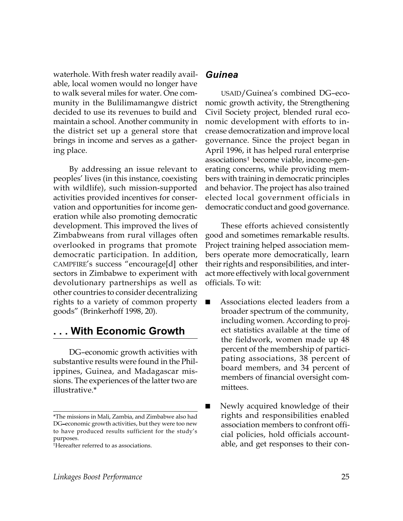waterhole. With fresh water readily available, local women would no longer have to walk several miles for water. One community in the Bulilimamangwe district decided to use its revenues to build and maintain a school. Another community in the district set up a general store that brings in income and serves as a gathering place.

By addressing an issue relevant to peoples' lives (in this instance, coexisting with wildlife), such mission-supported activities provided incentives for conservation and opportunities for income generation while also promoting democratic development. This improved the lives of Zimbabweans from rural villages often overlooked in programs that promote democratic participation. In addition, CAMPFIRE's success "encourage[d] other sectors in Zimbabwe to experiment with devolutionary partnerships as well as other countries to consider decentralizing rights to a variety of common property goods" (Brinkerhoff 1998, 20).

#### **. . . With Economic Growth**

DG–economic growth activities with substantive results were found in the Philippines, Guinea, and Madagascar missions. The experiences of the latter two are illustrative.\*

#### *Guinea*

USAID/Guinea's combined DG–economic growth activity, the Strengthening Civil Society project, blended rural economic development with efforts to increase democratization and improve local governance. Since the project began in April 1996, it has helped rural enterprise associations† become viable, income-generating concerns, while providing members with training in democratic principles and behavior. The project has also trained elected local government officials in democratic conduct and good governance.

These efforts achieved consistently good and sometimes remarkable results. Project training helped association members operate more democratically, learn their rights and responsibilities, and interact more effectively with local government officials. To wit:

- Associations elected leaders from a broader spectrum of the community, including women. According to project statistics available at the time of the fieldwork, women made up 48 percent of the membership of participating associations, 38 percent of board members, and 34 percent of members of financial oversight committees.
- Newly acquired knowledge of their rights and responsibilities enabled association members to confront official policies, hold officials accountable, and get responses to their con-

<sup>\*</sup>The missions in Mali, Zambia, and Zimbabwe also had DG–economic growth activities, but they were too new to have produced results sufficient for the study's purposes.

<sup>†</sup>Hereafter referred to as associations.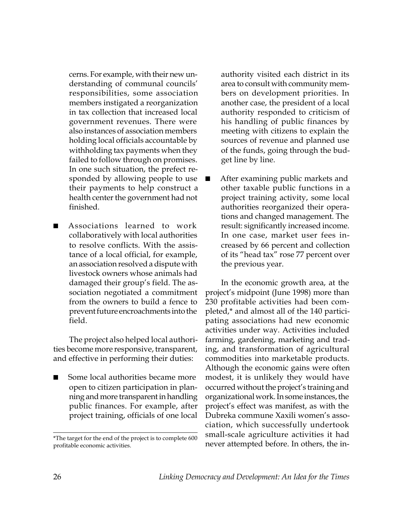cerns. For example, with their new understanding of communal councils' responsibilities, some association members instigated a reorganization in tax collection that increased local government revenues. There were also instances of association members holding local officials accountable by withholding tax payments when they failed to follow through on promises. In one such situation, the prefect responded by allowing people to use their payments to help construct a health center the government had not finished.

■ Associations learned to work collaboratively with local authorities to resolve conflicts. With the assistance of a local official, for example, an association resolved a dispute with livestock owners whose animals had damaged their group's field. The association negotiated a commitment from the owners to build a fence to prevent future encroachments into the field.

The project also helped local authorities become more responsive, transparent, and effective in performing their duties:

Some local authorities became more open to citizen participation in planning and more transparent in handling public finances. For example, after project training, officials of one local

authority visited each district in its area to consult with community members on development priorities. In another case, the president of a local authority responded to criticism of his handling of public finances by meeting with citizens to explain the sources of revenue and planned use of the funds, going through the budget line by line.

After examining public markets and other taxable public functions in a project training activity, some local authorities reorganized their operations and changed management. The result: significantly increased income. In one case, market user fees increased by 66 percent and collection of its "head tax" rose 77 percent over the previous year.

In the economic growth area, at the project's midpoint (June 1998) more than 230 profitable activities had been completed,\* and almost all of the 140 participating associations had new economic activities under way. Activities included farming, gardening, marketing and trading, and transformation of agricultural commodities into marketable products. Although the economic gains were often modest, it is unlikely they would have occurred without the project's training and organizational work. In some instances, the project's effect was manifest, as with the Dubreka commune Xaxili women's association, which successfully undertook small-scale agriculture activities it had

<sup>\*</sup>The target for the end of the project is to complete 600<br>profitable economic activities.<br>never attempted before. In others, the inprofitable economic activities.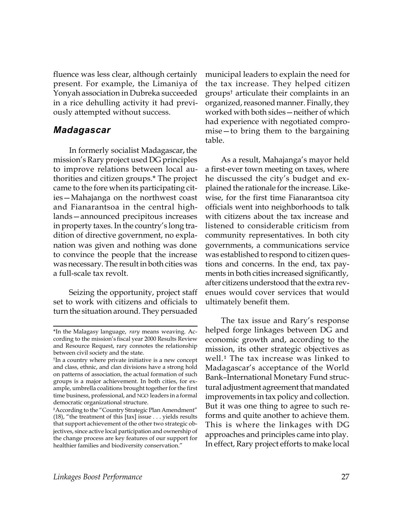fluence was less clear, although certainly present. For example, the Limaniya of Yonyah association in Dubreka succeeded in a rice dehulling activity it had previously attempted without success.

#### *Madagascar*

In formerly socialist Madagascar, the mission's Rary project used DG principles to improve relations between local authorities and citizen groups.\* The project came to the fore when its participating cities—Mahajanga on the northwest coast and Fianarantsoa in the central highlands—announced precipitous increases in property taxes. In the country's long tradition of directive government, no explanation was given and nothing was done to convince the people that the increase was necessary. The result in both cities was a full-scale tax revolt.

Seizing the opportunity, project staff set to work with citizens and officials to turn the situation around. They persuaded

municipal leaders to explain the need for the tax increase. They helped citizen groups† articulate their complaints in an organized, reasoned manner. Finally, they worked with both sides—neither of which had experience with negotiated compromise—to bring them to the bargaining table.

As a result, Mahajanga's mayor held a first-ever town meeting on taxes, where he discussed the city's budget and explained the rationale for the increase. Likewise, for the first time Fianarantsoa city officials went into neighborhoods to talk with citizens about the tax increase and listened to considerable criticism from community representatives. In both city governments, a communications service was established to respond to citizen questions and concerns. In the end, tax payments in both cities increased significantly, after citizens understood that the extra revenues would cover services that would ultimately benefit them.

The tax issue and Rary's response helped forge linkages between DG and economic growth and, according to the mission, its other strategic objectives as well.‡ The tax increase was linked to Madagascar's acceptance of the World Bank–International Monetary Fund structural adjustment agreement that mandated improvements in tax policy and collection. But it was one thing to agree to such reforms and quite another to achieve them. This is where the linkages with DG approaches and principles came into play. In effect, Rary project efforts to make local

<sup>\*</sup>In the Malagasy language, *rary* means weaving. According to the mission's fiscal year 2000 Results Review and Resource Request, rary connotes the relationship between civil society and the state.

<sup>†</sup> In a country where private initiative is a new concept and class, ethnic, and clan divisions have a strong hold on patterns of association, the actual formation of such groups is a major achievement. In both cities, for example, umbrella coalitions brought together for the first time business, professional, and NGO leaders in a formal democratic organizational structure.

<sup>‡</sup>According to the "Country Strategic Plan Amendment" (18), "the treatment of this [tax] issue . . . yields results that support achievement of the other two strategic objectives, since active local participation and ownership of the change process are key features of our support for healthier families and biodiversity conservation."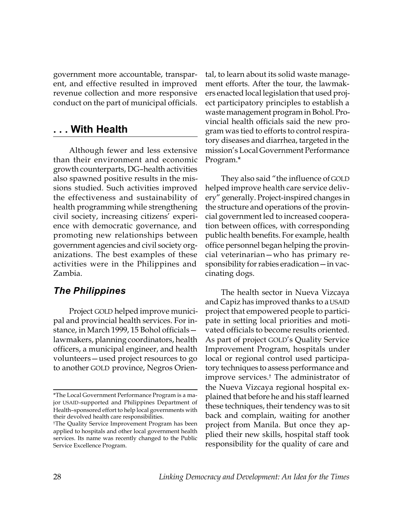government more accountable, transparent, and effective resulted in improved revenue collection and more responsive conduct on the part of municipal officials.

#### **. . . With Health**

Although fewer and less extensive than their environment and economic growth counterparts, DG–health activities also spawned positive results in the missions studied. Such activities improved the effectiveness and sustainability of health programming while strengthening civil society, increasing citizens' experience with democratic governance, and promoting new relationships between government agencies and civil society organizations. The best examples of these activities were in the Philippines and Zambia.

#### *The Philippines*

Project GOLD helped improve municipal and provincial health services. For instance, in March 1999, 15 Bohol officials lawmakers, planning coordinators, health officers, a municipal engineer, and health volunteers—used project resources to go to another GOLD province, Negros Orien-

tal, to learn about its solid waste management efforts. After the tour, the lawmakers enacted local legislation that used project participatory principles to establish a waste management program in Bohol. Provincial health officials said the new program was tied to efforts to control respiratory diseases and diarrhea, targeted in the mission's Local Government Performance Program.\*

They also said "the influence of GOLD helped improve health care service delivery" generally. Project-inspired changes in the structure and operations of the provincial government led to increased cooperation between offices, with corresponding public health benefits. For example, health office personnel began helping the provincial veterinarian—who has primary responsibility for rabies eradication—in vaccinating dogs.

The health sector in Nueva Vizcaya and Capiz has improved thanks to a USAID project that empowered people to participate in setting local priorities and motivated officials to become results oriented. As part of project GOLD's Quality Service Improvement Program, hospitals under local or regional control used participatory techniques to assess performance and improve services.† The administrator of the Nueva Vizcaya regional hospital explained that before he and his staff learned these techniques, their tendency was to sit back and complain, waiting for another project from Manila. But once they applied their new skills, hospital staff took responsibility for the quality of care and

<sup>\*</sup>The Local Government Performance Program is a major USAID-supported and Philippines Department of Health–sponsored effort to help local governments with their devolved health care responsibilities.

<sup>†</sup>The Quality Service Improvement Program has been applied to hospitals and other local government health services. Its name was recently changed to the Public Service Excellence Program.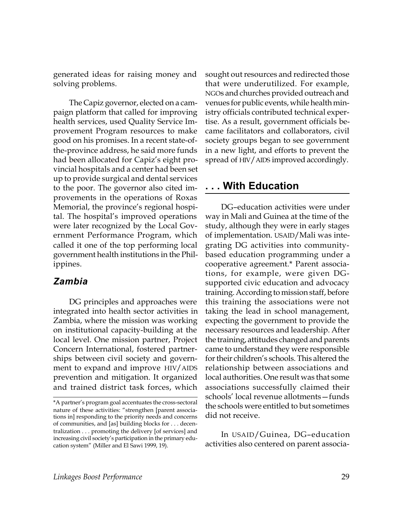generated ideas for raising money and solving problems.

The Capiz governor, elected on a campaign platform that called for improving health services, used Quality Service Improvement Program resources to make good on his promises. In a recent state-ofthe-province address, he said more funds had been allocated for Capiz's eight provincial hospitals and a center had been set up to provide surgical and dental services to the poor. The governor also cited improvements in the operations of Roxas Memorial, the province's regional hospital. The hospital's improved operations were later recognized by the Local Government Performance Program, which called it one of the top performing local government health institutions in the Philippines.

#### *Zambia*

DG principles and approaches were integrated into health sector activities in Zambia, where the mission was working on institutional capacity-building at the local level. One mission partner, Project Concern International, fostered partnerships between civil society and government to expand and improve HIV/AIDS prevention and mitigation. It organized and trained district task forces, which

sought out resources and redirected those that were underutilized. For example, NGOs and churches provided outreach and venues for public events, while health ministry officials contributed technical expertise. As a result, government officials became facilitators and collaborators, civil society groups began to see government in a new light, and efforts to prevent the spread of HIV/AIDS improved accordingly.

#### **. . . With Education**

DG–education activities were under way in Mali and Guinea at the time of the study, although they were in early stages of implementation. USAID/Mali was integrating DG activities into communitybased education programming under a cooperative agreement.\* Parent associations, for example, were given DGsupported civic education and advocacy training. According to mission staff, before this training the associations were not taking the lead in school management, expecting the government to provide the necessary resources and leadership. After the training, attitudes changed and parents came to understand they were responsible for their children's schools. This altered the relationship between associations and local authorities. One result was that some associations successfully claimed their schools' local revenue allotments—funds the schools were entitled to but sometimes did not receive.

In USAID/Guinea, DG–education activities also centered on parent associa-

<sup>\*</sup>A partner's program goal accentuates the cross-sectoral nature of these activities: "strengthen [parent associations in] responding to the priority needs and concerns of communities, and [as] building blocks for . . . decentralization . . . promoting the delivery [of services] and increasing civil society's participation in the primary education system" (Miller and El Sawi 1999, 19).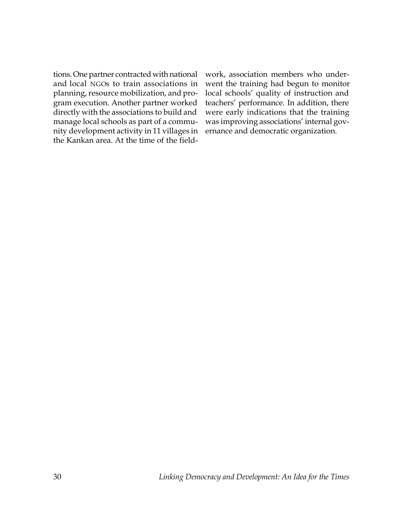tions. One partner contracted with national and local NGOs to train associations in planning, resource mobilization, and program execution. Another partner worked directly with the associations to build and manage local schools as part of a community development activity in 11 villages in the Kankan area. At the time of the fieldwork, association members who underwent the training had begun to monitor local schools' quality of instruction and teachers' performance. In addition, there were early indications that the training was improving associations' internal governance and democratic organization.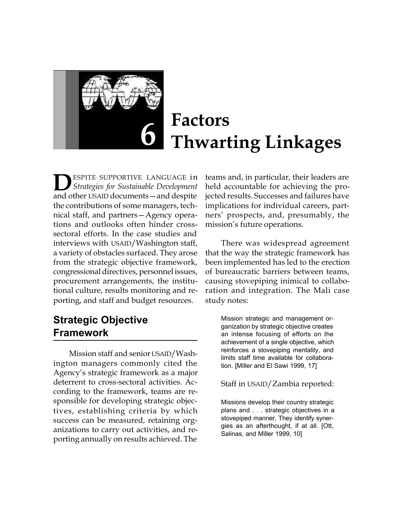

# **Factors Thwarting Linkages**

ESPITE SUPPORTIVE LANGUAGE in *Strategies for Sustainable Development* **D** ESPITE SUPPORTIVE LANGUAGE in<br>and other USAID documents — and despite the contributions of some managers, technical staff, and partners—Agency operations and outlooks often hinder crosssectoral efforts. In the case studies and interviews with USAID/Washington staff, a variety of obstacles surfaced. They arose from the strategic objective framework, congressional directives, personnel issues, procurement arrangements, the institutional culture, results monitoring and reporting, and staff and budget resources.

# **Strategic Objective Framework**

Mission staff and senior USAID/Washington managers commonly cited the Agency's strategic framework as a major deterrent to cross-sectoral activities. According to the framework, teams are responsible for developing strategic objectives, establishing criteria by which success can be measured, retaining organizations to carry out activities, and reporting annually on results achieved. The

teams and, in particular, their leaders are held accountable for achieving the projected results. Successes and failures have implications for individual careers, partners' prospects, and, presumably, the mission's future operations.

There was widespread agreement that the way the strategic framework has been implemented has led to the erection of bureaucratic barriers between teams, causing stovepiping inimical to collaboration and integration. The Mali case study notes:

> Mission strategic and management organization by strategic objective creates an intense focusing of efforts on the achievement of a single objective, which reinforces a stovepiping mentality, and limits staff time available for collaboration. [Miller and El Sawi 1999, 17]

> Staff in USAID/Zambia reported:

Missions develop their country strategic plans and . . . strategic objectives in a stovepiped manner. They identify synergies as an afterthought, if at all. [Ott, Salinas, and Miller 1999, 10]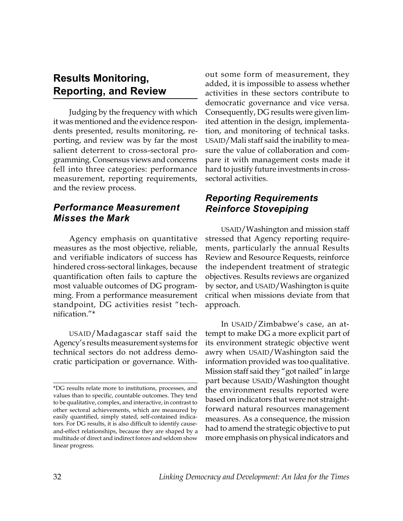### **Results Monitoring, Reporting, and Review**

Judging by the frequency with which it was mentioned and the evidence respondents presented, results monitoring, reporting, and review was by far the most salient deterrent to cross-sectoral programming. Consensus views and concerns fell into three categories: performance measurement, reporting requirements, and the review process.

#### *Performance Measurement Misses the Mark*

Agency emphasis on quantitative measures as the most objective, reliable, and verifiable indicators of success has hindered cross-sectoral linkages, because quantification often fails to capture the most valuable outcomes of DG programming. From a performance measurement standpoint, DG activities resist "technification."\*

USAID/Madagascar staff said the Agency's results measurement systems for technical sectors do not address democratic participation or governance. Without some form of measurement, they added, it is impossible to assess whether activities in these sectors contribute to democratic governance and vice versa. Consequently, DG results were given limited attention in the design, implementation, and monitoring of technical tasks. USAID/Mali staff said the inability to measure the value of collaboration and compare it with management costs made it hard to justify future investments in crosssectoral activities.

#### *Reporting Requirements Reinforce Stovepiping*

USAID/Washington and mission staff stressed that Agency reporting requirements, particularly the annual Results Review and Resource Requests, reinforce the independent treatment of strategic objectives. Results reviews are organized by sector, and USAID/Washington is quite critical when missions deviate from that approach.

In USAID/Zimbabwe's case, an attempt to make DG a more explicit part of its environment strategic objective went awry when USAID/Washington said the information provided was too qualitative. Mission staff said they "got nailed" in large part because USAID/Washington thought the environment results reported were based on indicators that were not straightforward natural resources management measures. As a consequence, the mission had to amend the strategic objective to put more emphasis on physical indicators and

<sup>\*</sup>DG results relate more to institutions, processes, and values than to specific, countable outcomes. They tend to be qualitative, complex, and interactive, in contrast to other sectoral achievements, which are measured by easily quantified, simply stated, self-contained indicators. For DG results, it is also difficult to identify causeand-effect relationships, because they are shaped by a multitude of direct and indirect forces and seldom show linear progress.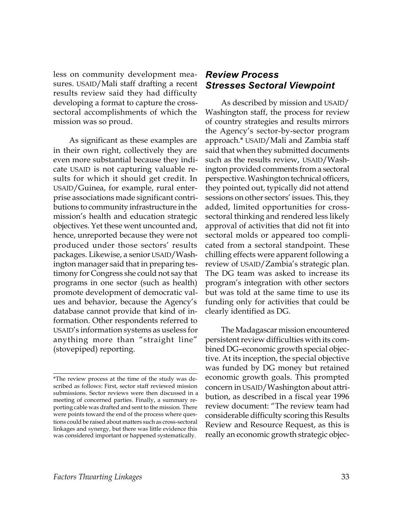less on community development measures. USAID/Mali staff drafting a recent results review said they had difficulty developing a format to capture the crosssectoral accomplishments of which the mission was so proud.

As significant as these examples are in their own right, collectively they are even more substantial because they indicate USAID is not capturing valuable results for which it should get credit. In USAID/Guinea, for example, rural enterprise associations made significant contributions to community infrastructure in the mission's health and education strategic objectives. Yet these went uncounted and, hence, unreported because they were not produced under those sectors' results packages. Likewise, a senior USAID/Washington manager said that in preparing testimony for Congress she could not say that programs in one sector (such as health) promote development of democratic values and behavior, because the Agency's database cannot provide that kind of information. Other respondents referred to USAID's information systems as useless for anything more than "straight line" (stovepiped) reporting.

#### *Review Process Stresses Sectoral Viewpoint*

As described by mission and USAID/ Washington staff, the process for review of country strategies and results mirrors the Agency's sector-by-sector program approach.\* USAID/Mali and Zambia staff said that when they submitted documents such as the results review, USAID/Washington provided comments from a sectoral perspective. Washington technical officers, they pointed out, typically did not attend sessions on other sectors' issues. This, they added, limited opportunities for crosssectoral thinking and rendered less likely approval of activities that did not fit into sectoral molds or appeared too complicated from a sectoral standpoint. These chilling effects were apparent following a review of USAID/Zambia's strategic plan. The DG team was asked to increase its program's integration with other sectors but was told at the same time to use its funding only for activities that could be clearly identified as DG.

The Madagascar mission encountered persistent review difficulties with its combined DG–economic growth special objective. At its inception, the special objective was funded by DG money but retained economic growth goals. This prompted concern in USAID/Washington about attribution, as described in a fiscal year 1996 review document: "The review team had considerable difficulty scoring this Results Review and Resource Request, as this is really an economic growth strategic objec-

<sup>\*</sup>The review process at the time of the study was described as follows: First, sector staff reviewed mission submissions. Sector reviews were then discussed in a meeting of concerned parties. Finally, a summary reporting cable was drafted and sent to the mission. There were points toward the end of the process where questions could be raised about matters such as cross-sectoral linkages and synergy, but there was little evidence this was considered important or happened systematically.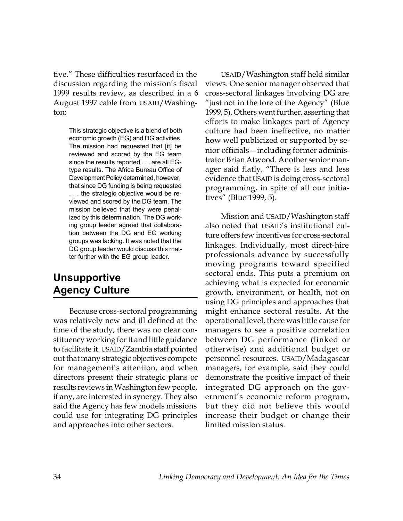tive." These difficulties resurfaced in the discussion regarding the mission's fiscal 1999 results review, as described in a 6 August 1997 cable from USAID/Washington:

> This strategic objective is a blend of both economic growth (EG) and DG activities. The mission had requested that [it] be reviewed and scored by the EG team since the results reported . . . are all EGtype results. The Africa Bureau Office of Development Policy determined, however, that since DG funding is being requested . . . the strategic objective would be reviewed and scored by the DG team. The mission believed that they were penalized by this determination. The DG working group leader agreed that collaboration between the DG and EG working groups was lacking. It was noted that the DG group leader would discuss this matter further with the EG group leader.

# **Unsupportive Agency Culture**

Because cross-sectoral programming was relatively new and ill defined at the time of the study, there was no clear constituency working for it and little guidance to facilitate it. USAID/Zambia staff pointed out that many strategic objectives compete for management's attention, and when directors present their strategic plans or results reviews in Washington few people, if any, are interested in synergy. They also said the Agency has few models missions could use for integrating DG principles and approaches into other sectors.

USAID/Washington staff held similar views. One senior manager observed that cross-sectoral linkages involving DG are "just not in the lore of the Agency" (Blue 1999, 5). Others went further, asserting that efforts to make linkages part of Agency culture had been ineffective, no matter how well publicized or supported by senior officials—including former administrator Brian Atwood. Another senior manager said flatly, "There is less and less evidence that USAID is doing cross-sectoral programming, in spite of all our initiatives" (Blue 1999, 5).

Mission and USAID/Washington staff also noted that USAID's institutional culture offers few incentives for cross-sectoral linkages. Individually, most direct-hire professionals advance by successfully moving programs toward specified sectoral ends. This puts a premium on achieving what is expected for economic growth, environment, or health, not on using DG principles and approaches that might enhance sectoral results. At the operational level, there was little cause for managers to see a positive correlation between DG performance (linked or otherwise) and additional budget or personnel resources. USAID/Madagascar managers, for example, said they could demonstrate the positive impact of their integrated DG approach on the government's economic reform program, but they did not believe this would increase their budget or change their limited mission status.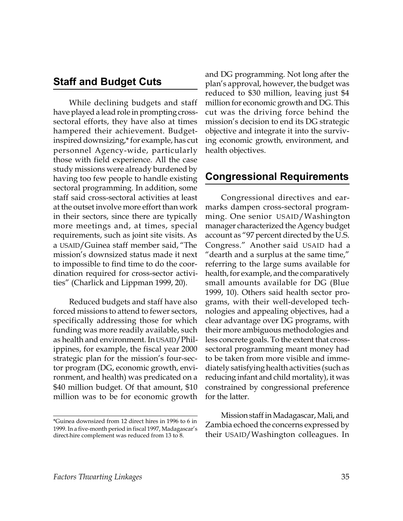#### **Staff and Budget Cuts**

While declining budgets and staff have played a lead role in prompting crosssectoral efforts, they have also at times hampered their achievement. Budgetinspired downsizing,\* for example, has cut personnel Agency-wide, particularly those with field experience. All the case study missions were already burdened by having too few people to handle existing sectoral programming. In addition, some staff said cross-sectoral activities at least at the outset involve more effort than work in their sectors, since there are typically more meetings and, at times, special requirements, such as joint site visits. As a USAID/Guinea staff member said, "The mission's downsized status made it next to impossible to find time to do the coordination required for cross-sector activities" (Charlick and Lippman 1999, 20).

Reduced budgets and staff have also forced missions to attend to fewer sectors, specifically addressing those for which funding was more readily available, such as health and environment. In USAID/Philippines, for example, the fiscal year 2000 strategic plan for the mission's four-sector program (DG, economic growth, environment, and health) was predicated on a \$40 million budget. Of that amount, \$10 million was to be for economic growth

and DG programming. Not long after the plan's approval, however, the budget was reduced to \$30 million, leaving just \$4 million for economic growth and DG. This cut was the driving force behind the mission's decision to end its DG strategic objective and integrate it into the surviving economic growth, environment, and health objectives.

#### **Congressional Requirements**

Congressional directives and earmarks dampen cross-sectoral programming. One senior USAID/Washington manager characterized the Agency budget account as "97 percent directed by the U.S. Congress." Another said USAID had a "dearth and a surplus at the same time," referring to the large sums available for health, for example, and the comparatively small amounts available for DG (Blue 1999, 10). Others said health sector programs, with their well-developed technologies and appealing objectives, had a clear advantage over DG programs, with their more ambiguous methodologies and less concrete goals. To the extent that crosssectoral programming meant money had to be taken from more visible and immediately satisfying health activities (such as reducing infant and child mortality), it was constrained by congressional preference for the latter.

Mission staff in Madagascar, Mali, and Zambia echoed the concerns expressed by their USAID/Washington colleagues. In

<sup>\*</sup>Guinea downsized from 12 direct hires in 1996 to 6 in 1999. In a five-month period in fiscal 1997, Madagascar's direct hire complement was reduced from 13 to 8.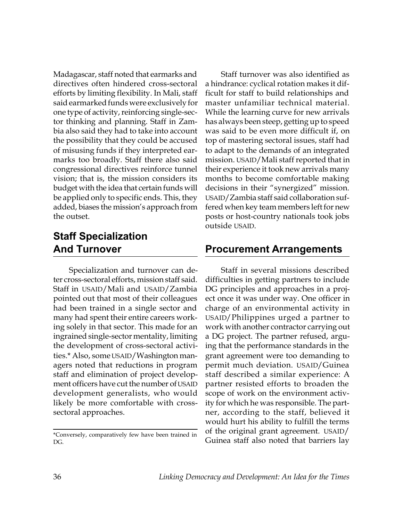Madagascar, staff noted that earmarks and directives often hindered cross-sectoral efforts by limiting flexibility. In Mali, staff said earmarked funds were exclusively for one type of activity, reinforcing single-sector thinking and planning. Staff in Zambia also said they had to take into account the possibility that they could be accused of misusing funds if they interpreted earmarks too broadly. Staff there also said congressional directives reinforce tunnel vision; that is, the mission considers its budget with the idea that certain funds will be applied only to specific ends. This, they added, biases the mission's approach from the outset.

# **Staff Specialization And Turnover**

Specialization and turnover can deter cross-sectoral efforts, mission staff said. Staff in USAID/Mali and USAID/Zambia pointed out that most of their colleagues had been trained in a single sector and many had spent their entire careers working solely in that sector. This made for an ingrained single-sector mentality, limiting the development of cross-sectoral activities.\* Also, some USAID/Washington managers noted that reductions in program staff and elimination of project development officers have cut the number of USAID development generalists, who would likely be more comfortable with crosssectoral approaches.

\*Conversely, comparatively few have been trained in DG.

Staff turnover was also identified as a hindrance: cyclical rotation makes it difficult for staff to build relationships and master unfamiliar technical material. While the learning curve for new arrivals has always been steep, getting up to speed was said to be even more difficult if, on top of mastering sectoral issues, staff had to adapt to the demands of an integrated mission. USAID/Mali staff reported that in their experience it took new arrivals many months to become comfortable making decisions in their "synergized" mission. USAID/Zambia staff said collaboration suffered when key team members left for new posts or host-country nationals took jobs outside USAID.

### **Procurement Arrangements**

Staff in several missions described difficulties in getting partners to include DG principles and approaches in a project once it was under way. One officer in charge of an environmental activity in USAID/Philippines urged a partner to work with another contractor carrying out a DG project. The partner refused, arguing that the performance standards in the grant agreement were too demanding to permit much deviation. USAID/Guinea staff described a similar experience: A partner resisted efforts to broaden the scope of work on the environment activity for which he was responsible. The partner, according to the staff, believed it would hurt his ability to fulfill the terms of the original grant agreement. USAID/ Guinea staff also noted that barriers lay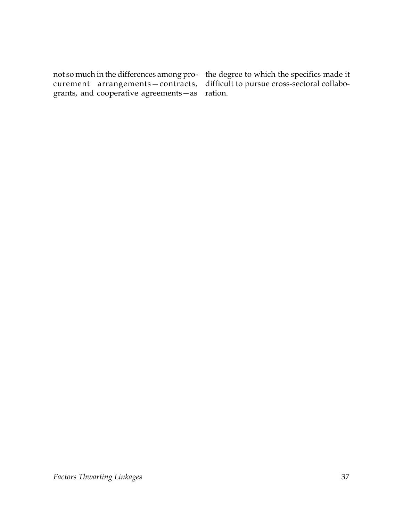not so much in the differences among pro-the degree to which the specifics made it curement arrangements—contracts, grants, and cooperative agreements—as ration.

difficult to pursue cross-sectoral collabo-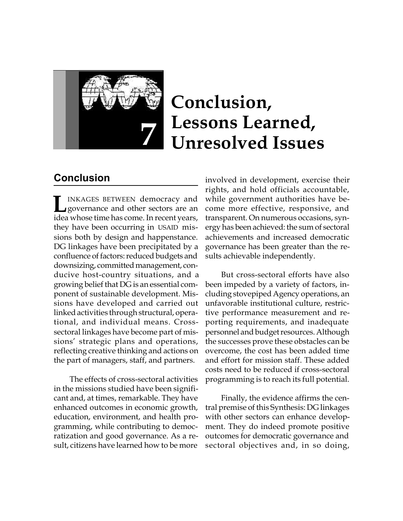

# **Conclusion, Lessons Learned, 7 Unresolved Issues**

# **Conclusion**

INKAGES BETWEEN democracy and **INKAGES BETWEEN democracy and**<br>governance and other sectors are an idea whose time has come. In recent years, they have been occurring in USAID missions both by design and happenstance. DG linkages have been precipitated by a confluence of factors: reduced budgets and downsizing, committed management, conducive host-country situations, and a growing belief that DG is an essential component of sustainable development. Missions have developed and carried out linked activities through structural, operational, and individual means. Crosssectoral linkages have become part of missions' strategic plans and operations, reflecting creative thinking and actions on the part of managers, staff, and partners.

The effects of cross-sectoral activities in the missions studied have been significant and, at times, remarkable. They have enhanced outcomes in economic growth, education, environment, and health programming, while contributing to democratization and good governance. As a result, citizens have learned how to be more

involved in development, exercise their rights, and hold officials accountable, while government authorities have become more effective, responsive, and transparent. On numerous occasions, synergy has been achieved: the sum of sectoral achievements and increased democratic governance has been greater than the results achievable independently.

But cross-sectoral efforts have also been impeded by a variety of factors, including stovepiped Agency operations, an unfavorable institutional culture, restrictive performance measurement and reporting requirements, and inadequate personnel and budget resources. Although the successes prove these obstacles can be overcome, the cost has been added time and effort for mission staff. These added costs need to be reduced if cross-sectoral programming is to reach its full potential.

Finally, the evidence affirms the central premise of this Synthesis: DG linkages with other sectors can enhance development. They do indeed promote positive outcomes for democratic governance and sectoral objectives and, in so doing,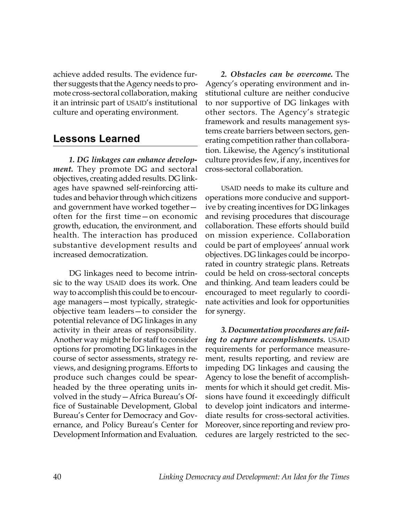achieve added results. The evidence further suggests that the Agency needs to promote cross-sectoral collaboration, making it an intrinsic part of USAID's institutional culture and operating environment.

### **Lessons Learned**

*1. DG linkages can enhance development.* They promote DG and sectoral objectives, creating added results. DG linkages have spawned self-reinforcing attitudes and behavior through which citizens and government have worked together often for the first time—on economic growth, education, the environment, and health. The interaction has produced substantive development results and increased democratization.

DG linkages need to become intrinsic to the way USAID does its work. One way to accomplish this could be to encourage managers—most typically, strategicobjective team leaders—to consider the potential relevance of DG linkages in any activity in their areas of responsibility. Another way might be for staff to consider options for promoting DG linkages in the course of sector assessments, strategy reviews, and designing programs. Efforts to produce such changes could be spearheaded by the three operating units involved in the study—Africa Bureau's Office of Sustainable Development, Global Bureau's Center for Democracy and Governance, and Policy Bureau's Center for Development Information and Evaluation.

*2. Obstacles can be overcome.* The Agency's operating environment and institutional culture are neither conducive to nor supportive of DG linkages with other sectors. The Agency's strategic framework and results management systems create barriers between sectors, generating competition rather than collaboration. Likewise, the Agency's institutional culture provides few, if any, incentives for cross-sectoral collaboration.

USAID needs to make its culture and operations more conducive and supportive by creating incentives for DG linkages and revising procedures that discourage collaboration. These efforts should build on mission experience. Collaboration could be part of employees' annual work objectives. DG linkages could be incorporated in country strategic plans. Retreats could be held on cross-sectoral concepts and thinking. And team leaders could be encouraged to meet regularly to coordinate activities and look for opportunities for synergy.

*3. Documentation procedures are failing to capture accomplishments.* USAID requirements for performance measurement, results reporting, and review are impeding DG linkages and causing the Agency to lose the benefit of accomplishments for which it should get credit. Missions have found it exceedingly difficult to develop joint indicators and intermediate results for cross-sectoral activities. Moreover, since reporting and review procedures are largely restricted to the sec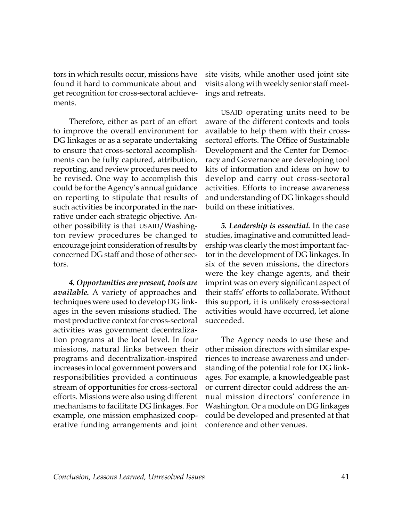tors in which results occur, missions have found it hard to communicate about and get recognition for cross-sectoral achievements.

Therefore, either as part of an effort to improve the overall environment for DG linkages or as a separate undertaking to ensure that cross-sectoral accomplishments can be fully captured, attribution, reporting, and review procedures need to be revised. One way to accomplish this could be for the Agency's annual guidance on reporting to stipulate that results of such activities be incorporated in the narrative under each strategic objective. Another possibility is that USAID/Washington review procedures be changed to encourage joint consideration of results by concerned DG staff and those of other sectors.

*4. Opportunities are present, tools are available.* A variety of approaches and techniques were used to develop DG linkages in the seven missions studied. The most productive context for cross-sectoral activities was government decentralization programs at the local level. In four missions, natural links between their programs and decentralization-inspired increases in local government powers and responsibilities provided a continuous stream of opportunities for cross-sectoral efforts. Missions were also using different mechanisms to facilitate DG linkages. For example, one mission emphasized cooperative funding arrangements and joint

site visits, while another used joint site visits along with weekly senior staff meetings and retreats.

USAID operating units need to be aware of the different contexts and tools available to help them with their crosssectoral efforts. The Office of Sustainable Development and the Center for Democracy and Governance are developing tool kits of information and ideas on how to develop and carry out cross-sectoral activities. Efforts to increase awareness and understanding of DG linkages should build on these initiatives.

*5. Leadership is essential.* In the case studies, imaginative and committed leadership was clearly the most important factor in the development of DG linkages. In six of the seven missions, the directors were the key change agents, and their imprint was on every significant aspect of their staffs' efforts to collaborate. Without this support, it is unlikely cross-sectoral activities would have occurred, let alone succeeded.

The Agency needs to use these and other mission directors with similar experiences to increase awareness and understanding of the potential role for DG linkages. For example, a knowledgeable past or current director could address the annual mission directors' conference in Washington. Or a module on DG linkages could be developed and presented at that conference and other venues.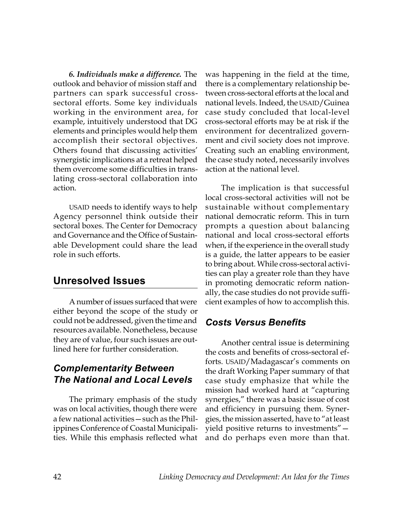*6. Individuals make a difference.* The outlook and behavior of mission staff and partners can spark successful crosssectoral efforts. Some key individuals working in the environment area, for example, intuitively understood that DG elements and principles would help them accomplish their sectoral objectives. Others found that discussing activities' synergistic implications at a retreat helped them overcome some difficulties in translating cross-sectoral collaboration into action.

USAID needs to identify ways to help Agency personnel think outside their sectoral boxes. The Center for Democracy and Governance and the Office of Sustainable Development could share the lead role in such efforts.

### **Unresolved Issues**

A number of issues surfaced that were either beyond the scope of the study or could not be addressed, given the time and resources available. Nonetheless, because they are of value, four such issues are outlined here for further consideration.

#### *Complementarity Between The National and Local Levels*

The primary emphasis of the study was on local activities, though there were a few national activities—such as the Philippines Conference of Coastal Municipalities. While this emphasis reflected what

was happening in the field at the time, there is a complementary relationship between cross-sectoral efforts at the local and national levels. Indeed, the USAID/Guinea case study concluded that local-level cross-sectoral efforts may be at risk if the environment for decentralized government and civil society does not improve. Creating such an enabling environment, the case study noted, necessarily involves action at the national level.

The implication is that successful local cross-sectoral activities will not be sustainable without complementary national democratic reform. This in turn prompts a question about balancing national and local cross-sectoral efforts when, if the experience in the overall study is a guide, the latter appears to be easier to bring about. While cross-sectoral activities can play a greater role than they have in promoting democratic reform nationally, the case studies do not provide sufficient examples of how to accomplish this.

#### *Costs Versus Benefits*

Another central issue is determining the costs and benefits of cross-sectoral efforts. USAID/Madagascar's comments on the draft Working Paper summary of that case study emphasize that while the mission had worked hard at "capturing synergies," there was a basic issue of cost and efficiency in pursuing them. Synergies, the mission asserted, have to "at least yield positive returns to investments" and do perhaps even more than that.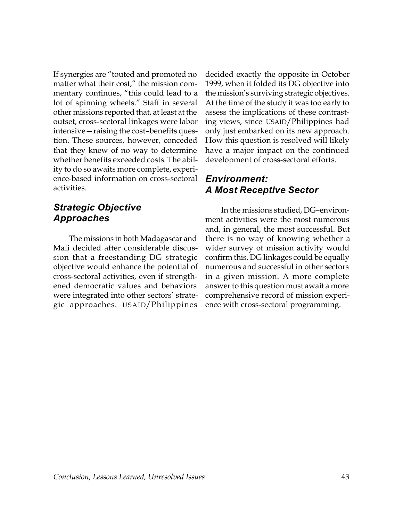If synergies are "touted and promoted no matter what their cost," the mission commentary continues, "this could lead to a lot of spinning wheels." Staff in several other missions reported that, at least at the outset, cross-sectoral linkages were labor intensive—raising the cost–benefits question. These sources, however, conceded that they knew of no way to determine whether benefits exceeded costs. The ability to do so awaits more complete, experience-based information on cross-sectoral activities.

#### *Strategic Objective Approaches*

The missions in both Madagascar and Mali decided after considerable discussion that a freestanding DG strategic objective would enhance the potential of cross-sectoral activities, even if strengthened democratic values and behaviors were integrated into other sectors' strategic approaches. USAID/Philippines

decided exactly the opposite in October 1999, when it folded its DG objective into the mission's surviving strategic objectives. At the time of the study it was too early to assess the implications of these contrasting views, since USAID/Philippines had only just embarked on its new approach. How this question is resolved will likely have a major impact on the continued development of cross-sectoral efforts.

#### *Environment: A Most Receptive Sector*

In the missions studied, DG–environment activities were the most numerous and, in general, the most successful. But there is no way of knowing whether a wider survey of mission activity would confirm this. DG linkages could be equally numerous and successful in other sectors in a given mission. A more complete answer to this question must await a more comprehensive record of mission experience with cross-sectoral programming.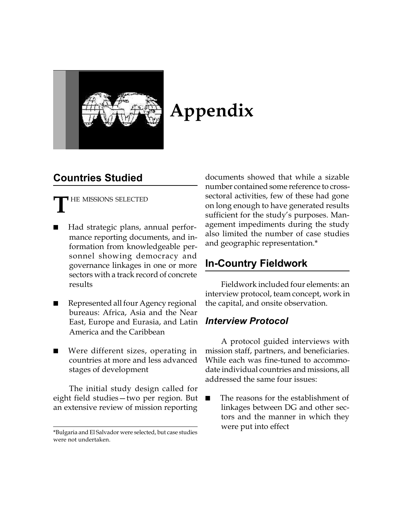

# **Appendix**

# **Countries Studied**

HE MISSIONS SELECTED **T**

- Had strategic plans, annual performance reporting documents, and information from knowledgeable personnel showing democracy and governance linkages in one or more sectors with a track record of concrete results
- Represented all four Agency regional bureaus: Africa, Asia and the Near East, Europe and Eurasia, and Latin America and the Caribbean
- Were different sizes, operating in countries at more and less advanced stages of development

The initial study design called for eight field studies—two per region. But an extensive review of mission reporting

documents showed that while a sizable number contained some reference to crosssectoral activities, few of these had gone on long enough to have generated results sufficient for the study's purposes. Management impediments during the study also limited the number of case studies and geographic representation.\*

# **In-Country Fieldwork**

Fieldwork included four elements: an interview protocol, team concept, work in the capital, and onsite observation.

#### *Interview Protocol*

A protocol guided interviews with mission staff, partners, and beneficiaries. While each was fine-tuned to accommodate individual countries and missions, all addressed the same four issues:

The reasons for the establishment of linkages between DG and other sectors and the manner in which they were put into effect

<sup>\*</sup>Bulgaria and El Salvador were selected, but case studies were not undertaken.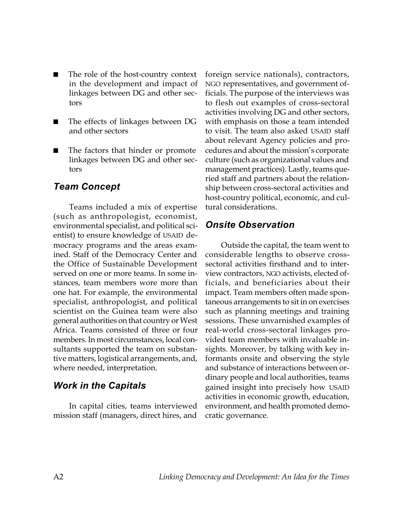- The role of the host-country context in the development and impact of linkages between DG and other sectors
- The effects of linkages between DG and other sectors
- The factors that hinder or promote linkages between DG and other sectors

#### *Team Concept*

Teams included a mix of expertise (such as anthropologist, economist, environmental specialist, and political scientist) to ensure knowledge of USAID democracy programs and the areas examined. Staff of the Democracy Center and the Office of Sustainable Development served on one or more teams. In some instances, team members wore more than one hat. For example, the environmental specialist, anthropologist, and political scientist on the Guinea team were also general authorities on that country or West Africa. Teams consisted of three or four members. In most circumstances, local consultants supported the team on substantive matters, logistical arrangements, and, where needed, interpretation.

#### *Work in the Capitals*

In capital cities, teams interviewed mission staff (managers, direct hires, and

foreign service nationals), contractors, NGO representatives, and government officials. The purpose of the interviews was to flesh out examples of cross-sectoral activities involving DG and other sectors, with emphasis on those a team intended to visit. The team also asked USAID staff about relevant Agency policies and procedures and about the mission's corporate culture (such as organizational values and management practices). Lastly, teams queried staff and partners about the relationship between cross-sectoral activities and host-country political, economic, and cultural considerations.

#### *Onsite Observation*

Outside the capital, the team went to considerable lengths to observe crosssectoral activities firsthand and to interview contractors, NGO activists, elected officials, and beneficiaries about their impact. Team members often made spontaneous arrangements to sit in on exercises such as planning meetings and training sessions. These unvarnished examples of real-world cross-sectoral linkages provided team members with invaluable insights. Moreover, by talking with key informants onsite and observing the style and substance of interactions between ordinary people and local authorities, teams gained insight into precisely how USAID activities in economic growth, education, environment, and health promoted democratic governance.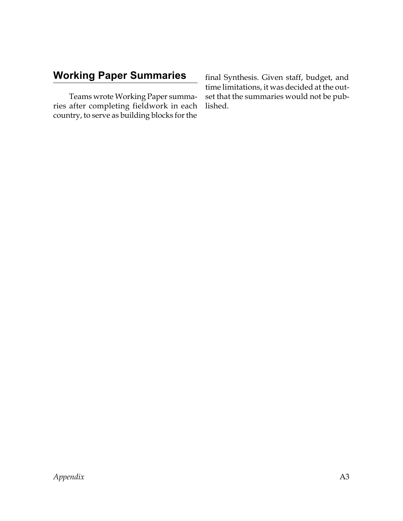# **Working Paper Summaries**

Teams wrote Working Paper summaries after completing fieldwork in each country, to serve as building blocks for the

final Synthesis. Given staff, budget, and time limitations, it was decided at the outset that the summaries would not be published.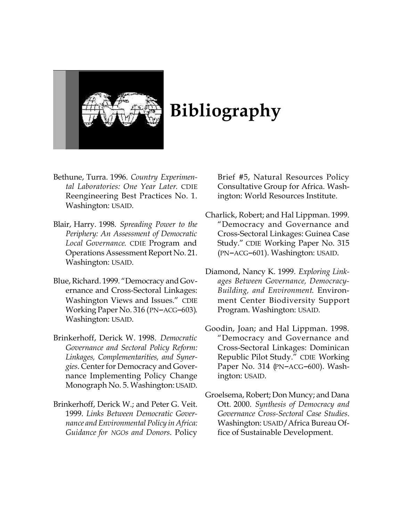

# **Bibliography**

- Bethune, Turra. 1996. *Country Experimental Laboratories: One Year Later*. CDIE Reengineering Best Practices No. 1. Washington: USAID.
- Blair, Harry. 1998. *Spreading Power to the Periphery: An Assessment of Democratic Local Governance*. CDIE Program and Operations Assessment Report No. 21. Washington: USAID.
- Blue, Richard. 1999. "Democracy and Governance and Cross-Sectoral Linkages: Washington Views and Issues." CDIE Working Paper No. 316 (PN–ACG–603). Washington: USAID.
- Brinkerhoff, Derick W. 1998. *Democratic Governance and Sectoral Policy Reform: Linkages, Complementarities, and Synergies*. Center for Democracy and Governance Implementing Policy Change Monograph No. 5. Washington: USAID.
- Brinkerhoff, Derick W.; and Peter G. Veit. 1999. *Links Between Democratic Governance and Environmental Policy in Africa: Guidance for NGOs and Donors*. Policy

Brief #5, Natural Resources Policy Consultative Group for Africa. Washington: World Resources Institute.

- Charlick, Robert; and Hal Lippman. 1999. "Democracy and Governance and Cross-Sectoral Linkages: Guinea Case Study." CDIE Working Paper No. 315 (PN–ACG–601). Washington: USAID.
- Diamond, Nancy K. 1999. *Exploring Linkages Between Governance, Democracy-Building, and Environment*. Environment Center Biodiversity Support Program. Washington: USAID.
- Goodin, Joan; and Hal Lippman. 1998. "Democracy and Governance and Cross-Sectoral Linkages: Dominican Republic Pilot Study." CDIE Working Paper No. 314 (PN–ACG–600). Washington: USAID.
- Groelsema, Robert; Don Muncy; and Dana Ott. 2000. *Synthesis of Democracy and Governance Cross-Sectoral Case Studies*. Washington: USAID/Africa Bureau Office of Sustainable Development.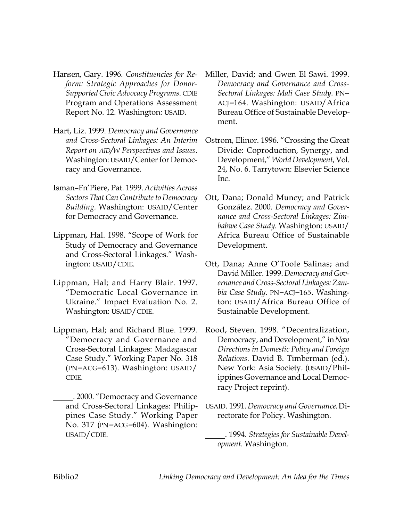- Hansen, Gary. 1996. *Constituencies for Reform: Strategic Approaches for Donor-Supported Civic Advocacy Programs*. CDIE Program and Operations Assessment Report No. 12. Washington: USAID.
- Hart, Liz. 1999. *Democracy and Governance and Cross-Sectoral Linkages: An Interim Report on AID/W Perspectives and Issues*. Washington: USAID/Center for Democracy and Governance.
- Isman–Fn'Piere, Pat. 1999. *Activities Across Sectors That Can Contribute to Democracy Building.* Washington: USAID/Center for Democracy and Governance.
- Lippman, Hal. 1998. "Scope of Work for Study of Democracy and Governance and Cross-Sectoral Linkages." Washington: USAID/CDIE.
- Lippman, Hal; and Harry Blair. 1997. "Democratic Local Governance in Ukraine." Impact Evaluation No. 2. Washington: USAID/CDIE.
- Lippman, Hal; and Richard Blue. 1999. "Democracy and Governance and Cross-Sectoral Linkages: Madagascar Case Study." Working Paper No. 318 (PN–ACG–613). Washington: USAID/ CDIE.
	- \_\_\_\_\_. 2000. "Democracy and Governance and Cross-Sectoral Linkages: Philippines Case Study." Working Paper No. 317 (PN–ACG–604). Washington: USAID/CDIE.
- Miller, David; and Gwen El Sawi. 1999. *Democracy and Governance and Cross-Sectoral Linkages: Mali Case Study.* PN– ACJ–164. Washington: USAID/Africa Bureau Office of Sustainable Development.
- Ostrom, Elinor. 1996. "Crossing the Great Divide: Coproduction, Synergy, and Development," *World Development*, Vol. 24, No. 6. Tarrytown: Elsevier Science Inc.
- Ott, Dana; Donald Muncy; and Patrick González. 2000. *Democracy and Governance and Cross-Sectoral Linkages: Zimbabwe Case Study.* Washington: USAID/ Africa Bureau Office of Sustainable Development.
- Ott, Dana; Anne O'Toole Salinas; and David Miller. 1999. *Democracy and Governance and Cross-Sectoral Linkages: Zambia Case Study.* PN–ACJ–165. Washington: USAID/Africa Bureau Office of Sustainable Development.
- Rood, Steven. 1998. "Decentralization, Democracy, and Development," in *New Directions in Domestic Policy and Foreign Relations*. David B. Timberman (ed.). New York: Asia Society. (USAID/Philippines Governance and Local Democracy Project reprint).
- USAID. 1991. *Democracy and Governance*. Directorate for Policy. Washington.
	- \_\_\_\_\_. 1994. *Strategies for Sustainable Development*. Washington.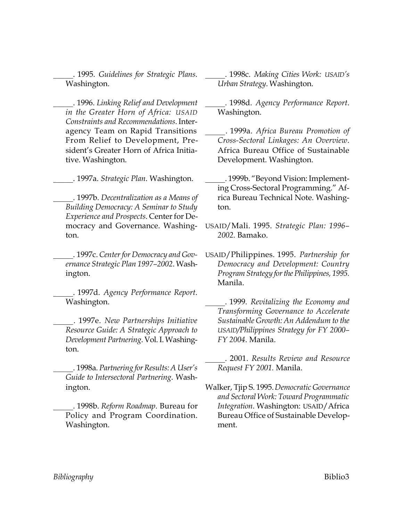\_\_\_\_\_. 1995. *Guidelines for Strategic Plans*. Washington.

\_\_\_\_\_. 1996. *Linking Relief and Development in the Greater Horn of Africa: USAID Constraints and Recommendations*. Interagency Team on Rapid Transitions From Relief to Development, President's Greater Horn of Africa Initiative. Washington.

\_\_\_\_\_. 1997a. *Strategic Plan*. Washington.

\_\_\_\_\_. 1997b. *Decentralization as a Means of Building Democracy: A Seminar to Study Experience and Prospects*. Center for Democracy and Governance. Washington.

\_\_\_\_\_. 1997c. *Center for Democracy and Governance Strategic Plan 1997–2002*. Washington.

\_\_\_\_\_. 1997d. *Agency Performance Report*. Washington.

\_\_\_\_\_. 1997e. *New Partnerships Initiative Resource Guide: A Strategic Approach to Development Partnering*. Vol. I. Washington.

\_\_\_\_\_. 1998a. *Partnering for Results: A User's Guide to Intersectoral Partnering*. Washington.

\_\_\_\_\_. 1998b. *Reform Roadmap*. Bureau for Policy and Program Coordination. Washington.

\_\_\_\_\_. 1998c. *Making Cities Work: USAID's Urban Strategy*. Washington.

\_\_\_\_\_. 1998d. *Agency Performance Report*. Washington.

\_\_\_\_\_. 1999a. *Africa Bureau Promotion of Cross-Sectoral Linkages: An Overview*. Africa Bureau Office of Sustainable Development. Washington.

- \_\_\_\_\_. 1999b. "Beyond Vision: Implementing Cross-Sectoral Programming." Africa Bureau Technical Note. Washington.
- USAID/Mali. 1995. *Strategic Plan: 1996– 2002.* Bamako.
- USAID/Philippines. 1995. *Partnership for Democracy and Development: Country Program Strategy for the Philippines, 1995.* Manila.

\_\_\_\_\_. 1999. *Revitalizing the Economy and Transforming Governance to Accelerate Sustainable Growth: An Addendum to the USAID/Philippines Strategy for FY 2000– FY 2004*. Manila.

\_\_\_\_\_. 2001. *Results Review and Resource Request FY 2001.* Manila.

Walker, Tjip S. 1995. *Democratic Governance and Sectoral Work: Toward Programmatic Integration*. Washington: USAID/Africa Bureau Office of Sustainable Development.